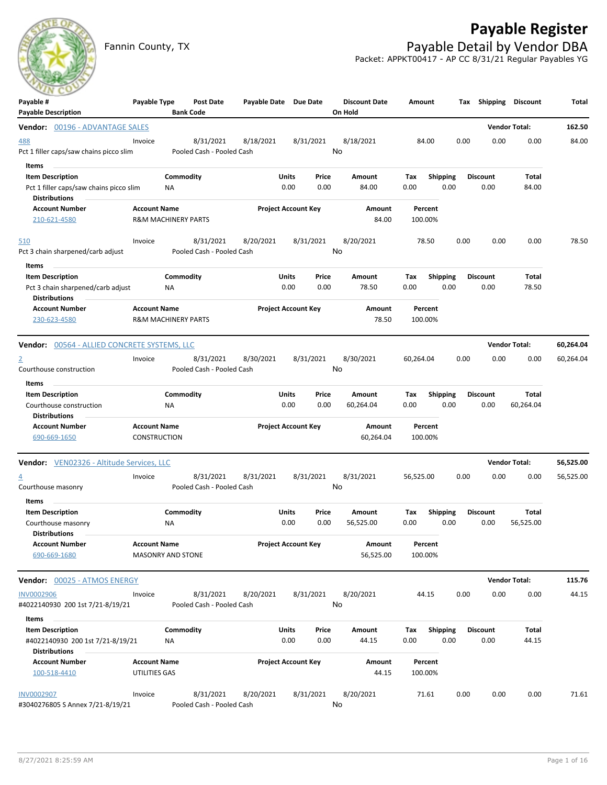## **Payable Register**



Fannin County, TX **Payable Detail by Vendor DBA** Packet: APPKT00417 - AP CC 8/31/21 Regular Payables YG

| Payable #<br><b>Payable Description</b>                  | Payable Type                                    |           | Post Date<br><b>Bank Code</b>          | Payable Date Due Date |                            |           | <b>Discount Date</b><br>On Hold | Amount             |                 | Tax  | Shipping        | <b>Discount</b>      | Total     |
|----------------------------------------------------------|-------------------------------------------------|-----------|----------------------------------------|-----------------------|----------------------------|-----------|---------------------------------|--------------------|-----------------|------|-----------------|----------------------|-----------|
| Vendor: 00196 - ADVANTAGE SALES                          |                                                 |           |                                        |                       |                            |           |                                 |                    |                 |      |                 | <b>Vendor Total:</b> | 162.50    |
| 488                                                      | Invoice                                         |           | 8/31/2021                              | 8/18/2021             |                            | 8/31/2021 | 8/18/2021                       | 84.00              |                 | 0.00 | 0.00            | 0.00                 | 84.00     |
| Pct 1 filler caps/saw chains picco slim                  |                                                 |           | Pooled Cash - Pooled Cash              |                       |                            |           | No                              |                    |                 |      |                 |                      |           |
| Items                                                    |                                                 |           |                                        |                       |                            |           |                                 |                    |                 |      |                 |                      |           |
| <b>Item Description</b>                                  |                                                 | Commodity |                                        |                       | <b>Units</b>               | Price     | Amount                          | Tax                | <b>Shipping</b> |      | <b>Discount</b> | Total                |           |
| Pct 1 filler caps/saw chains picco slim                  |                                                 | ΝA        |                                        |                       | 0.00                       | 0.00      | 84.00                           | 0.00               | 0.00            |      | 0.00            | 84.00                |           |
| <b>Distributions</b>                                     |                                                 |           |                                        |                       |                            |           |                                 |                    |                 |      |                 |                      |           |
| <b>Account Number</b>                                    | <b>Account Name</b>                             |           |                                        |                       | <b>Project Account Key</b> |           | Amount                          | Percent            |                 |      |                 |                      |           |
| 210-621-4580                                             | <b>R&amp;M MACHINERY PARTS</b>                  |           |                                        |                       |                            |           | 84.00                           | 100.00%            |                 |      |                 |                      |           |
| 510                                                      | Invoice                                         |           | 8/31/2021                              | 8/20/2021             |                            | 8/31/2021 | 8/20/2021                       | 78.50              |                 | 0.00 | 0.00            | 0.00                 | 78.50     |
| Pct 3 chain sharpened/carb adjust                        |                                                 |           | Pooled Cash - Pooled Cash              |                       |                            |           | No                              |                    |                 |      |                 |                      |           |
| Items                                                    |                                                 |           |                                        |                       |                            |           |                                 |                    |                 |      |                 |                      |           |
| <b>Item Description</b>                                  |                                                 | Commodity |                                        |                       | Units                      | Price     | Amount                          | Tax                | <b>Shipping</b> |      | <b>Discount</b> | Total                |           |
| Pct 3 chain sharpened/carb adjust                        |                                                 | ΝA        |                                        |                       | 0.00                       | 0.00      | 78.50                           | 0.00               | 0.00            |      | 0.00            | 78.50                |           |
| <b>Distributions</b>                                     |                                                 |           |                                        |                       |                            |           |                                 |                    |                 |      |                 |                      |           |
| <b>Account Number</b>                                    | <b>Account Name</b>                             |           |                                        |                       | <b>Project Account Key</b> |           | Amount                          | Percent            |                 |      |                 |                      |           |
| 230-623-4580                                             | <b>R&amp;M MACHINERY PARTS</b>                  |           |                                        |                       |                            |           | 78.50                           | 100.00%            |                 |      |                 |                      |           |
| <b>Vendor:</b> 00564 - ALLIED CONCRETE SYSTEMS, LLC      |                                                 |           |                                        |                       |                            |           |                                 |                    |                 |      |                 | <b>Vendor Total:</b> | 60,264.04 |
| $\overline{2}$                                           | Invoice                                         |           | 8/31/2021                              | 8/30/2021             |                            | 8/31/2021 | 8/30/2021                       | 60,264.04          |                 | 0.00 | 0.00            | 0.00                 | 60,264.04 |
| Courthouse construction                                  |                                                 |           | Pooled Cash - Pooled Cash              |                       |                            |           | No                              |                    |                 |      |                 |                      |           |
| Items                                                    |                                                 |           |                                        |                       |                            |           |                                 |                    |                 |      |                 |                      |           |
| <b>Item Description</b>                                  |                                                 | Commodity |                                        |                       | Units                      | Price     | Amount                          | Tax                | <b>Shipping</b> |      | <b>Discount</b> | Total                |           |
| Courthouse construction<br><b>Distributions</b>          |                                                 | <b>NA</b> |                                        |                       | 0.00                       | 0.00      | 60,264.04                       | 0.00               | 0.00            |      | 0.00            | 60,264.04            |           |
| <b>Account Number</b>                                    | <b>Account Name</b>                             |           |                                        |                       | <b>Project Account Key</b> |           | Amount                          | Percent            |                 |      |                 |                      |           |
| 690-669-1650                                             | <b>CONSTRUCTION</b>                             |           |                                        |                       |                            |           | 60,264.04                       | 100.00%            |                 |      |                 |                      |           |
| Vendor: VEN02326 - Altitude Services, LLC                |                                                 |           |                                        |                       |                            |           |                                 |                    |                 |      |                 | <b>Vendor Total:</b> | 56,525.00 |
| $\overline{4}$                                           | Invoice                                         |           | 8/31/2021                              | 8/31/2021             |                            | 8/31/2021 | 8/31/2021                       | 56,525.00          |                 | 0.00 | 0.00            | 0.00                 | 56,525.00 |
| Courthouse masonry                                       |                                                 |           | Pooled Cash - Pooled Cash              |                       |                            |           | No                              |                    |                 |      |                 |                      |           |
| Items                                                    |                                                 |           |                                        |                       |                            |           |                                 |                    |                 |      |                 |                      |           |
| <b>Item Description</b>                                  |                                                 | Commodity |                                        |                       | Units                      | Price     | Amount                          | Tax                | <b>Shipping</b> |      | <b>Discount</b> | <b>Total</b>         |           |
| Courthouse masonry                                       |                                                 | <b>NA</b> |                                        |                       | 0.00                       | 0.00      | 56,525.00                       | 0.00               | 0.00            |      | 0.00            | 56,525.00            |           |
| <b>Distributions</b>                                     |                                                 |           |                                        |                       |                            |           |                                 |                    |                 |      |                 |                      |           |
| <b>Account Number</b><br>690-669-1680                    | <b>Account Name</b><br><b>MASONRY AND STONE</b> |           |                                        |                       | <b>Project Account Key</b> |           | Amount<br>56,525.00             | Percent<br>100.00% |                 |      |                 |                      |           |
| Vendor: 00025 - ATMOS ENERGY                             |                                                 |           |                                        |                       |                            |           |                                 |                    |                 |      |                 | <b>Vendor Total:</b> | 115.76    |
| INV0002906                                               |                                                 |           |                                        |                       |                            |           |                                 | 44.15              |                 | 0.00 | 0.00            | 0.00                 | 44.15     |
| #4022140930 200 1st 7/21-8/19/21                         | Invoice                                         |           | 8/31/2021<br>Pooled Cash - Pooled Cash | 8/20/2021             |                            | 8/31/2021 | 8/20/2021<br>No                 |                    |                 |      |                 |                      |           |
| Items                                                    |                                                 |           |                                        |                       |                            |           |                                 |                    |                 |      |                 |                      |           |
| <b>Item Description</b>                                  |                                                 | Commodity |                                        |                       | Units                      | Price     | Amount                          | Tax                | Shipping        |      | <b>Discount</b> | Total                |           |
| #4022140930 200 1st 7/21-8/19/21<br><b>Distributions</b> |                                                 | ΝA        |                                        |                       | 0.00                       | 0.00      | 44.15                           | 0.00               | 0.00            |      | 0.00            | 44.15                |           |
| <b>Account Number</b><br>100-518-4410                    | <b>Account Name</b><br>UTILITIES GAS            |           |                                        |                       | <b>Project Account Key</b> |           | Amount<br>44.15                 | Percent<br>100.00% |                 |      |                 |                      |           |
| <b>INV0002907</b><br>#3040276805 S Annex 7/21-8/19/21    | Invoice                                         |           | 8/31/2021<br>Pooled Cash - Pooled Cash | 8/20/2021             |                            | 8/31/2021 | 8/20/2021<br>No                 | 71.61              |                 | 0.00 | 0.00            | 0.00                 | 71.61     |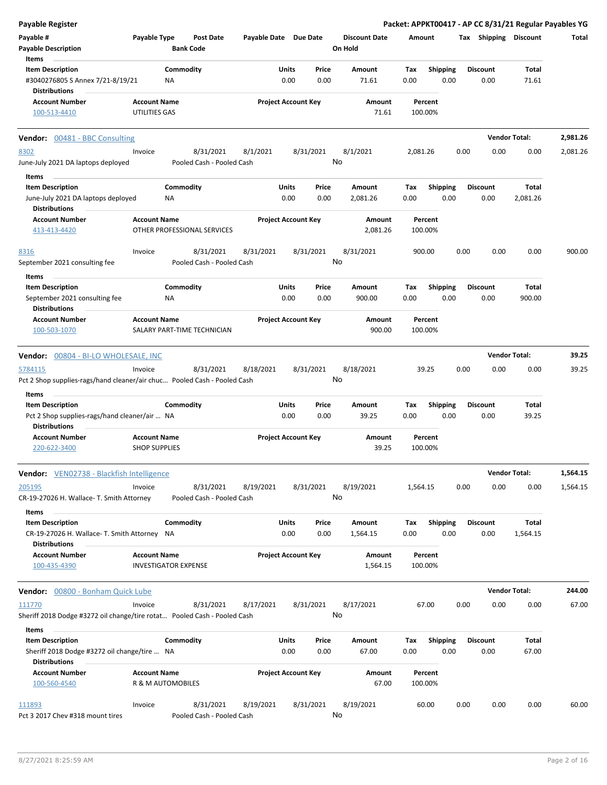| <b>Payable Register</b>                                                                          |                                                    |                                        |                       |                            |               |                                 |             |                         |      |                         | Packet: APPKT00417 - AP CC 8/31/21 Regular Payables YG |          |
|--------------------------------------------------------------------------------------------------|----------------------------------------------------|----------------------------------------|-----------------------|----------------------------|---------------|---------------------------------|-------------|-------------------------|------|-------------------------|--------------------------------------------------------|----------|
| Payable #<br><b>Payable Description</b>                                                          | Payable Type                                       | Post Date<br><b>Bank Code</b>          | Payable Date Due Date |                            |               | <b>Discount Date</b><br>On Hold | Amount      |                         |      | Tax Shipping Discount   |                                                        | Total    |
| Items                                                                                            |                                                    |                                        |                       |                            |               |                                 |             |                         |      |                         |                                                        |          |
| <b>Item Description</b><br>#3040276805 S Annex 7/21-8/19/21                                      | <b>NA</b>                                          | Commodity                              |                       | Units<br>0.00              | Price<br>0.00 | Amount<br>71.61                 | Tax<br>0.00 | Shipping<br>0.00        |      | <b>Discount</b><br>0.00 | <b>Total</b><br>71.61                                  |          |
| <b>Distributions</b>                                                                             |                                                    |                                        |                       |                            |               |                                 |             |                         |      |                         |                                                        |          |
| <b>Account Number</b><br>100-513-4410                                                            | <b>Account Name</b><br>UTILITIES GAS               |                                        |                       | <b>Project Account Key</b> |               | Amount<br>71.61                 |             | Percent<br>100.00%      |      |                         |                                                        |          |
| Vendor: 00481 - BBC Consulting                                                                   |                                                    |                                        |                       |                            |               |                                 |             |                         |      |                         | <b>Vendor Total:</b>                                   | 2,981.26 |
| 8302<br>June-July 2021 DA laptops deployed                                                       | Invoice                                            | 8/31/2021<br>Pooled Cash - Pooled Cash | 8/1/2021              | 8/31/2021                  |               | 8/1/2021<br>No                  | 2,081.26    |                         | 0.00 | 0.00                    | 0.00                                                   | 2,081.26 |
| Items                                                                                            |                                                    |                                        |                       |                            |               |                                 |             |                         |      |                         |                                                        |          |
| <b>Item Description</b><br>June-July 2021 DA laptops deployed<br><b>Distributions</b>            | ΝA                                                 | Commodity                              |                       | Units<br>0.00              | Price<br>0.00 | Amount<br>2,081.26              | Tax<br>0.00 | <b>Shipping</b><br>0.00 |      | <b>Discount</b><br>0.00 | <b>Total</b><br>2,081.26                               |          |
| <b>Account Number</b><br>413-413-4420                                                            | <b>Account Name</b>                                | OTHER PROFESSIONAL SERVICES            |                       | <b>Project Account Key</b> |               | Amount<br>2,081.26              |             | Percent<br>100.00%      |      |                         |                                                        |          |
| 8316<br>September 2021 consulting fee                                                            | Invoice                                            | 8/31/2021<br>Pooled Cash - Pooled Cash | 8/31/2021             | 8/31/2021                  |               | 8/31/2021<br>No                 |             | 900.00                  | 0.00 | 0.00                    | 0.00                                                   | 900.00   |
| Items                                                                                            |                                                    |                                        |                       |                            |               |                                 |             |                         |      |                         |                                                        |          |
| <b>Item Description</b><br>September 2021 consulting fee<br><b>Distributions</b>                 | ΝA                                                 | Commodity                              |                       | Units<br>0.00              | Price<br>0.00 | Amount<br>900.00                | Tax<br>0.00 | <b>Shipping</b><br>0.00 |      | <b>Discount</b><br>0.00 | <b>Total</b><br>900.00                                 |          |
| <b>Account Number</b><br>100-503-1070                                                            | <b>Account Name</b>                                | SALARY PART-TIME TECHNICIAN            |                       | <b>Project Account Key</b> |               | Amount<br>900.00                |             | Percent<br>100.00%      |      |                         |                                                        |          |
|                                                                                                  |                                                    |                                        |                       |                            |               |                                 |             |                         |      |                         |                                                        |          |
| Vendor: 00804 - BI-LO WHOLESALE, INC                                                             |                                                    |                                        |                       |                            |               |                                 |             |                         |      |                         | <b>Vendor Total:</b>                                   | 39.25    |
| 5784115<br>Pct 2 Shop supplies-rags/hand cleaner/air chuc Pooled Cash - Pooled Cash              | Invoice                                            | 8/31/2021                              | 8/18/2021             | 8/31/2021                  |               | 8/18/2021<br>No                 |             | 39.25                   | 0.00 | 0.00                    | 0.00                                                   | 39.25    |
| Items                                                                                            |                                                    |                                        |                       | Units                      |               |                                 |             |                         |      | <b>Discount</b>         |                                                        |          |
| <b>Item Description</b><br>Pct 2 Shop supplies-rags/hand cleaner/air  NA<br><b>Distributions</b> |                                                    | Commodity                              |                       | 0.00                       | Price<br>0.00 | Amount<br>39.25                 | Tax<br>0.00 | <b>Shipping</b><br>0.00 |      | 0.00                    | Total<br>39.25                                         |          |
| <b>Account Number</b><br>220-622-3400                                                            | <b>Account Name</b><br><b>SHOP SUPPLIES</b>        |                                        |                       | <b>Project Account Key</b> |               | Amount<br>39.25                 |             | Percent<br>100.00%      |      |                         |                                                        |          |
| Vendor: VEN02738 - Blackfish Intelligence                                                        |                                                    |                                        |                       |                            |               |                                 |             |                         |      |                         | <b>Vendor Total:</b>                                   | 1,564.15 |
| 205195<br>CR-19-27026 H. Wallace- T. Smith Attorney                                              | Invoice                                            | 8/31/2021<br>Pooled Cash - Pooled Cash | 8/19/2021             | 8/31/2021                  |               | 8/19/2021<br>No                 | 1,564.15    |                         | 0.00 | 0.00                    | 0.00                                                   | 1,564.15 |
| Items                                                                                            |                                                    | Commodity                              |                       | Units                      |               |                                 |             | Shipping                |      |                         | Total                                                  |          |
| <b>Item Description</b><br>CR-19-27026 H. Wallace- T. Smith Attorney NA<br><b>Distributions</b>  |                                                    |                                        |                       | 0.00                       | Price<br>0.00 | Amount<br>1,564.15              | Tax<br>0.00 | 0.00                    |      | Discount<br>0.00        | 1,564.15                                               |          |
| <b>Account Number</b><br>100-435-4390                                                            | <b>Account Name</b><br><b>INVESTIGATOR EXPENSE</b> |                                        |                       | <b>Project Account Key</b> |               | Amount<br>1,564.15              |             | Percent<br>100.00%      |      |                         |                                                        |          |
| Vendor: 00800 - Bonham Quick Lube                                                                |                                                    |                                        |                       |                            |               |                                 |             |                         |      |                         | <b>Vendor Total:</b>                                   | 244.00   |
| 111770<br>Sheriff 2018 Dodge #3272 oil change/tire rotat Pooled Cash - Pooled Cash               | Invoice                                            | 8/31/2021                              | 8/17/2021             | 8/31/2021                  |               | 8/17/2021<br>No                 |             | 67.00                   | 0.00 | 0.00                    | 0.00                                                   | 67.00    |
| Items                                                                                            |                                                    |                                        |                       |                            |               |                                 |             |                         |      |                         |                                                        |          |
| <b>Item Description</b><br>Sheriff 2018 Dodge #3272 oil change/tire  NA                          |                                                    | Commodity                              |                       | Units<br>0.00              | Price<br>0.00 | Amount<br>67.00                 | Tax<br>0.00 | <b>Shipping</b><br>0.00 |      | <b>Discount</b><br>0.00 | Total<br>67.00                                         |          |
| <b>Distributions</b><br><b>Account Number</b><br>100-560-4540                                    | <b>Account Name</b><br>R & M AUTOMOBILES           |                                        |                       | <b>Project Account Key</b> |               | Amount<br>67.00                 |             | Percent<br>100.00%      |      |                         |                                                        |          |
| 111893<br>Pct 3 2017 Chev #318 mount tires                                                       | Invoice                                            | 8/31/2021<br>Pooled Cash - Pooled Cash | 8/19/2021             | 8/31/2021                  |               | 8/19/2021<br>No                 |             | 60.00                   | 0.00 | 0.00                    | 0.00                                                   | 60.00    |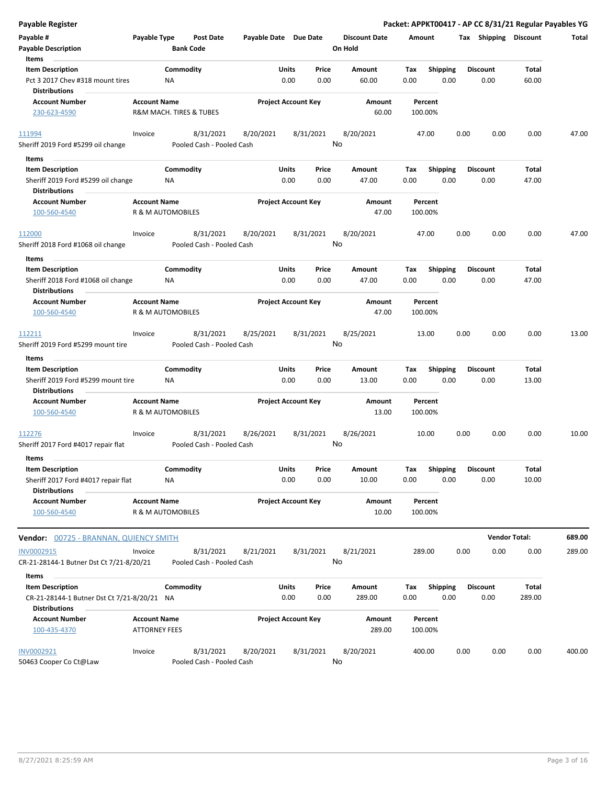| <b>Payable Register</b>                                                             |                                             |                         |                                        |                       |                            |               |                                 |                    |                  |      |                         | Packet: APPKT00417 - AP CC 8/31/21 Regular Payables YG |        |
|-------------------------------------------------------------------------------------|---------------------------------------------|-------------------------|----------------------------------------|-----------------------|----------------------------|---------------|---------------------------------|--------------------|------------------|------|-------------------------|--------------------------------------------------------|--------|
| Payable #<br><b>Payable Description</b>                                             | Payable Type                                | <b>Bank Code</b>        | <b>Post Date</b>                       | Payable Date Due Date |                            |               | <b>Discount Date</b><br>On Hold | Amount             |                  |      | Tax Shipping Discount   |                                                        | Total  |
| Items                                                                               |                                             |                         |                                        |                       |                            |               |                                 |                    |                  |      |                         |                                                        |        |
| <b>Item Description</b><br>Pct 3 2017 Chev #318 mount tires<br><b>Distributions</b> |                                             | Commodity<br><b>NA</b>  |                                        |                       | Units<br>0.00              | Price<br>0.00 | Amount<br>60.00                 | Tax<br>0.00        | Shipping<br>0.00 |      | <b>Discount</b><br>0.00 | Total<br>60.00                                         |        |
| <b>Account Number</b>                                                               | <b>Account Name</b>                         |                         |                                        |                       | <b>Project Account Key</b> |               | Amount                          | Percent            |                  |      |                         |                                                        |        |
| 230-623-4590                                                                        |                                             | R&M MACH. TIRES & TUBES |                                        |                       |                            |               | 60.00                           | 100.00%            |                  |      |                         |                                                        |        |
| 111994                                                                              | Invoice                                     |                         | 8/31/2021                              | 8/20/2021             |                            | 8/31/2021     | 8/20/2021                       | 47.00              |                  | 0.00 | 0.00                    | 0.00                                                   | 47.00  |
| Sheriff 2019 Ford #5299 oil change                                                  |                                             |                         | Pooled Cash - Pooled Cash              |                       |                            |               | No                              |                    |                  |      |                         |                                                        |        |
| Items                                                                               |                                             |                         |                                        |                       |                            |               |                                 |                    |                  |      |                         |                                                        |        |
| <b>Item Description</b><br>Sheriff 2019 Ford #5299 oil change                       |                                             | Commodity<br><b>NA</b>  |                                        |                       | Units<br>0.00              | Price<br>0.00 | Amount<br>47.00                 | Tax<br>0.00        | Shipping<br>0.00 |      | <b>Discount</b><br>0.00 | Total<br>47.00                                         |        |
| <b>Distributions</b>                                                                |                                             |                         |                                        |                       |                            |               |                                 |                    |                  |      |                         |                                                        |        |
| <b>Account Number</b><br>100-560-4540                                               | <b>Account Name</b>                         | R & M AUTOMOBILES       |                                        |                       | <b>Project Account Key</b> |               | Amount<br>47.00                 | Percent<br>100.00% |                  |      |                         |                                                        |        |
| 112000                                                                              | Invoice                                     |                         | 8/31/2021                              | 8/20/2021             |                            | 8/31/2021     | 8/20/2021                       | 47.00              |                  | 0.00 | 0.00                    | 0.00                                                   | 47.00  |
| Sheriff 2018 Ford #1068 oil change                                                  |                                             |                         | Pooled Cash - Pooled Cash              |                       |                            |               | No                              |                    |                  |      |                         |                                                        |        |
| Items                                                                               |                                             |                         |                                        |                       |                            |               |                                 |                    |                  |      |                         |                                                        |        |
| <b>Item Description</b>                                                             |                                             | Commodity               |                                        |                       | Units                      | Price         | Amount                          | Tax                | <b>Shipping</b>  |      | <b>Discount</b>         | Total                                                  |        |
| Sheriff 2018 Ford #1068 oil change<br><b>Distributions</b>                          |                                             | ΝA                      |                                        |                       | 0.00                       | 0.00          | 47.00                           | 0.00               | 0.00             |      | 0.00                    | 47.00                                                  |        |
| <b>Account Number</b><br>100-560-4540                                               | <b>Account Name</b>                         | R & M AUTOMOBILES       |                                        |                       | <b>Project Account Key</b> |               | Amount<br>47.00                 | Percent<br>100.00% |                  |      |                         |                                                        |        |
| 112211                                                                              | Invoice                                     |                         | 8/31/2021                              | 8/25/2021             |                            | 8/31/2021     | 8/25/2021                       | 13.00              |                  | 0.00 | 0.00                    | 0.00                                                   | 13.00  |
| Sheriff 2019 Ford #5299 mount tire                                                  |                                             |                         | Pooled Cash - Pooled Cash              |                       |                            |               | No                              |                    |                  |      |                         |                                                        |        |
| Items                                                                               |                                             |                         |                                        |                       |                            |               |                                 |                    |                  |      |                         |                                                        |        |
| <b>Item Description</b>                                                             |                                             | Commodity               |                                        |                       | Units                      | Price         | Amount                          | Tax                | <b>Shipping</b>  |      | <b>Discount</b>         | Total                                                  |        |
| Sheriff 2019 Ford #5299 mount tire<br><b>Distributions</b>                          |                                             | NA                      |                                        |                       | 0.00                       | 0.00          | 13.00                           | 0.00               | 0.00             |      | 0.00                    | 13.00                                                  |        |
| <b>Account Number</b><br>100-560-4540                                               | <b>Account Name</b>                         | R & M AUTOMOBILES       |                                        |                       | <b>Project Account Key</b> |               | Amount<br>13.00                 | Percent<br>100.00% |                  |      |                         |                                                        |        |
| 112276<br>Sheriff 2017 Ford #4017 repair flat                                       | Invoice                                     |                         | 8/31/2021<br>Pooled Cash - Pooled Cash | 8/26/2021             |                            | 8/31/2021     | 8/26/2021<br>No                 | 10.00              |                  | 0.00 | 0.00                    | 0.00                                                   | 10.00  |
| Items                                                                               |                                             |                         |                                        |                       |                            |               |                                 |                    |                  |      |                         |                                                        |        |
| <b>Item Description</b><br>Sheriff 2017 Ford #4017 repair flat                      |                                             | Commodity<br>NA         |                                        |                       | Units<br>0.00              | Price<br>0.00 | Amount<br>10.00                 | Tax<br>0.00        | Shipping<br>0.00 |      | <b>Discount</b><br>0.00 | Total<br>10.00                                         |        |
| <b>Distributions</b>                                                                |                                             |                         |                                        |                       |                            |               |                                 |                    |                  |      |                         |                                                        |        |
| <b>Account Number</b><br>100-560-4540                                               | <b>Account Name</b>                         | R & M AUTOMOBILES       |                                        |                       | <b>Project Account Key</b> |               | Amount<br>10.00                 | Percent<br>100.00% |                  |      |                         |                                                        |        |
| <b>Vendor: 00725 - BRANNAN, QUIENCY SMITH</b>                                       |                                             |                         |                                        |                       |                            |               |                                 |                    |                  |      | <b>Vendor Total:</b>    |                                                        | 689.00 |
| INV0002915<br>CR-21-28144-1 Butner Dst Ct 7/21-8/20/21                              | Invoice                                     |                         | 8/31/2021<br>Pooled Cash - Pooled Cash | 8/21/2021             |                            | 8/31/2021     | 8/21/2021<br>No                 | 289.00             |                  | 0.00 | 0.00                    | 0.00                                                   | 289.00 |
|                                                                                     |                                             |                         |                                        |                       |                            |               |                                 |                    |                  |      |                         |                                                        |        |
| Items<br><b>Item Description</b>                                                    |                                             | Commodity               |                                        |                       | Units                      | Price         | Amount                          | Tax                | <b>Shipping</b>  |      | <b>Discount</b>         | Total                                                  |        |
| CR-21-28144-1 Butner Dst Ct 7/21-8/20/21 NA                                         |                                             |                         |                                        |                       | 0.00                       | 0.00          | 289.00                          | 0.00               | 0.00             |      | 0.00                    | 289.00                                                 |        |
| <b>Distributions</b>                                                                |                                             |                         |                                        |                       |                            |               |                                 |                    |                  |      |                         |                                                        |        |
| <b>Account Number</b><br>100-435-4370                                               | <b>Account Name</b><br><b>ATTORNEY FEES</b> |                         |                                        |                       | <b>Project Account Key</b> |               | Amount<br>289.00                | Percent<br>100.00% |                  |      |                         |                                                        |        |
|                                                                                     |                                             |                         |                                        |                       |                            |               |                                 |                    |                  |      |                         |                                                        |        |
| INV0002921<br>50463 Cooper Co Ct@Law                                                | Invoice                                     |                         | 8/31/2021<br>Pooled Cash - Pooled Cash | 8/20/2021             |                            | 8/31/2021     | 8/20/2021<br>No                 | 400.00             |                  | 0.00 | 0.00                    | 0.00                                                   | 400.00 |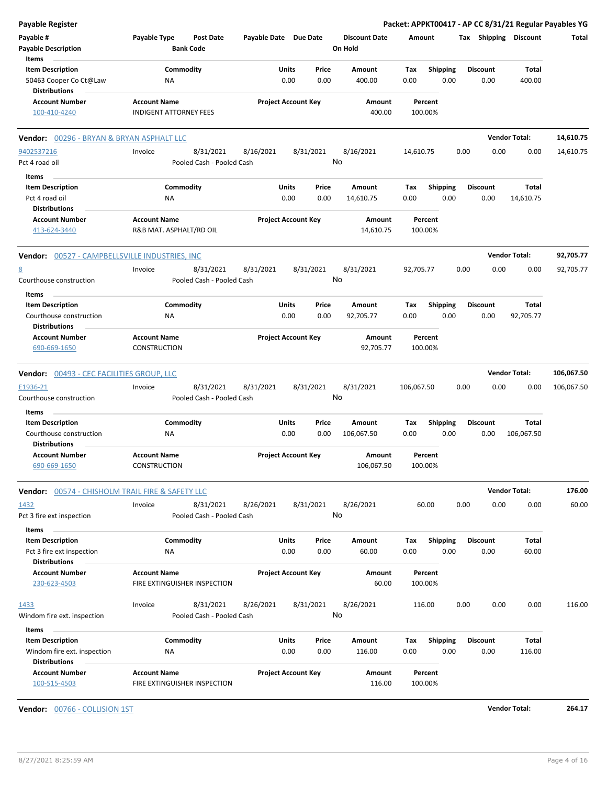| <b>Payable Register</b>                                 |                                  |                            |           |                      | Packet: APPKT00417 - AP CC 8/31/21 Regular Payables YG |      |                 |                       |            |
|---------------------------------------------------------|----------------------------------|----------------------------|-----------|----------------------|--------------------------------------------------------|------|-----------------|-----------------------|------------|
| Payable #                                               | Payable Type<br><b>Post Date</b> | Payable Date Due Date      |           | <b>Discount Date</b> | Amount                                                 |      |                 | Tax Shipping Discount | Total      |
| <b>Payable Description</b>                              | <b>Bank Code</b>                 |                            |           | On Hold              |                                                        |      |                 |                       |            |
| Items                                                   |                                  |                            |           |                      |                                                        |      |                 |                       |            |
| <b>Item Description</b>                                 | Commodity                        | Units                      | Price     | Amount               | Tax<br><b>Shipping</b>                                 |      | <b>Discount</b> | Total                 |            |
| 50463 Cooper Co Ct@Law                                  | <b>NA</b>                        | 0.00                       | 0.00      | 400.00               | 0.00                                                   | 0.00 | 0.00            | 400.00                |            |
| <b>Distributions</b>                                    |                                  |                            |           |                      |                                                        |      |                 |                       |            |
| <b>Account Number</b>                                   | <b>Account Name</b>              | <b>Project Account Key</b> |           | Amount               | Percent                                                |      |                 |                       |            |
| 100-410-4240                                            | <b>INDIGENT ATTORNEY FEES</b>    |                            |           | 400.00               | 100.00%                                                |      |                 |                       |            |
| <b>Vendor:</b> 00296 - BRYAN & BRYAN ASPHALT LLC        |                                  |                            |           |                      |                                                        |      |                 | <b>Vendor Total:</b>  | 14,610.75  |
| 9402537216                                              | 8/31/2021<br>Invoice             | 8/16/2021                  | 8/31/2021 | 8/16/2021            | 14,610.75                                              | 0.00 | 0.00            | 0.00                  | 14,610.75  |
| Pct 4 road oil                                          | Pooled Cash - Pooled Cash        |                            | No        |                      |                                                        |      |                 |                       |            |
| Items                                                   |                                  |                            |           |                      |                                                        |      |                 |                       |            |
| <b>Item Description</b>                                 | Commodity                        | Units                      | Price     | Amount               | <b>Shipping</b><br>Тах                                 |      | <b>Discount</b> | Total                 |            |
| Pct 4 road oil                                          | <b>NA</b>                        | 0.00                       | 0.00      | 14,610.75            | 0.00                                                   | 0.00 | 0.00            | 14,610.75             |            |
| <b>Distributions</b>                                    |                                  |                            |           |                      |                                                        |      |                 |                       |            |
| <b>Account Number</b>                                   | <b>Account Name</b>              | <b>Project Account Key</b> |           | Amount               | Percent                                                |      |                 |                       |            |
| 413-624-3440                                            | R&B MAT. ASPHALT/RD OIL          |                            |           | 14,610.75            | 100.00%                                                |      |                 |                       |            |
|                                                         |                                  |                            |           |                      |                                                        |      |                 |                       |            |
| <b>Vendor: 00527 - CAMPBELLSVILLE INDUSTRIES, INC</b>   |                                  |                            |           |                      |                                                        |      |                 | <b>Vendor Total:</b>  | 92,705.77  |
| $\underline{8}$                                         | 8/31/2021<br>Invoice             | 8/31/2021                  | 8/31/2021 | 8/31/2021            | 92,705.77                                              | 0.00 | 0.00            | 0.00                  | 92,705.77  |
| Courthouse construction                                 | Pooled Cash - Pooled Cash        |                            | No        |                      |                                                        |      |                 |                       |            |
| Items                                                   |                                  |                            |           |                      |                                                        |      |                 |                       |            |
| <b>Item Description</b>                                 | Commodity                        | Units                      | Price     | Amount               | Shipping<br>Тах                                        |      | <b>Discount</b> | Total                 |            |
| Courthouse construction                                 | ΝA                               | 0.00                       | 0.00      | 92,705.77            | 0.00                                                   | 0.00 | 0.00            | 92,705.77             |            |
| <b>Distributions</b>                                    |                                  |                            |           |                      |                                                        |      |                 |                       |            |
| <b>Account Number</b>                                   | <b>Account Name</b>              | <b>Project Account Key</b> |           | Amount               | Percent                                                |      |                 |                       |            |
| 690-669-1650                                            | <b>CONSTRUCTION</b>              |                            |           | 92,705.77            | 100.00%                                                |      |                 |                       |            |
|                                                         |                                  |                            |           |                      |                                                        |      |                 |                       |            |
| Vendor: 00493 - CEC FACILITIES GROUP, LLC               |                                  |                            |           |                      |                                                        |      |                 | <b>Vendor Total:</b>  | 106,067.50 |
| E1936-21                                                | 8/31/2021<br>Invoice             | 8/31/2021                  | 8/31/2021 | 8/31/2021            | 106,067.50                                             | 0.00 | 0.00            | 0.00                  | 106,067.50 |
| Courthouse construction                                 | Pooled Cash - Pooled Cash        |                            | No        |                      |                                                        |      |                 |                       |            |
|                                                         |                                  |                            |           |                      |                                                        |      |                 |                       |            |
| Items                                                   |                                  |                            |           |                      |                                                        |      |                 |                       |            |
| <b>Item Description</b>                                 | Commodity                        | Units                      | Price     | Amount               | <b>Shipping</b><br>Тах                                 |      | <b>Discount</b> | Total                 |            |
| Courthouse construction                                 | ΝA                               | 0.00                       | 0.00      | 106,067.50           | 0.00                                                   | 0.00 | 0.00            | 106,067.50            |            |
| <b>Distributions</b>                                    |                                  |                            |           |                      |                                                        |      |                 |                       |            |
| <b>Account Number</b>                                   | <b>Account Name</b>              | <b>Project Account Key</b> |           | Amount               | Percent                                                |      |                 |                       |            |
| 690-669-1650                                            | CONSTRUCTION                     |                            |           | 106,067.50           | 100.00%                                                |      |                 |                       |            |
| <b>Vendor:</b> 00574 - CHISHOLM TRAIL FIRE & SAFETY LLC |                                  |                            |           |                      |                                                        |      |                 | <b>Vendor Total:</b>  | 176.00     |
| 1432                                                    | Invoice<br>8/31/2021             | 8/26/2021                  | 8/31/2021 | 8/26/2021            | 60.00                                                  | 0.00 | 0.00            | 0.00                  | 60.00      |
| Pct 3 fire ext inspection                               | Pooled Cash - Pooled Cash        |                            | No        |                      |                                                        |      |                 |                       |            |
|                                                         |                                  |                            |           |                      |                                                        |      |                 |                       |            |
| Items                                                   |                                  |                            |           |                      |                                                        |      |                 |                       |            |
| <b>Item Description</b>                                 | Commodity                        | Units                      | Price     | Amount               | <b>Shipping</b><br>Tax                                 |      | <b>Discount</b> | Total                 |            |
| Pct 3 fire ext inspection                               | ΝA                               | 0.00                       | 0.00      | 60.00                | 0.00                                                   | 0.00 | 0.00            | 60.00                 |            |
| <b>Distributions</b>                                    |                                  |                            |           |                      |                                                        |      |                 |                       |            |
| <b>Account Number</b>                                   | <b>Account Name</b>              | <b>Project Account Key</b> |           | Amount               | Percent                                                |      |                 |                       |            |
| 230-623-4503                                            | FIRE EXTINGUISHER INSPECTION     |                            |           | 60.00                | 100.00%                                                |      |                 |                       |            |
| 1433                                                    | 8/31/2021<br>Invoice             | 8/26/2021                  | 8/31/2021 | 8/26/2021            | 116.00                                                 | 0.00 | 0.00            | 0.00                  | 116.00     |
| Windom fire ext. inspection                             | Pooled Cash - Pooled Cash        |                            | No        |                      |                                                        |      |                 |                       |            |
|                                                         |                                  |                            |           |                      |                                                        |      |                 |                       |            |
| Items                                                   |                                  |                            |           |                      |                                                        |      |                 |                       |            |
| <b>Item Description</b>                                 | Commodity                        | Units                      | Price     | Amount               | Tax<br><b>Shipping</b>                                 |      | <b>Discount</b> | Total                 |            |
| Windom fire ext. inspection<br><b>Distributions</b>     | NA                               | 0.00                       | 0.00      | 116.00               | 0.00                                                   | 0.00 | 0.00            | 116.00                |            |
| <b>Account Number</b>                                   | <b>Account Name</b>              | <b>Project Account Key</b> |           | Amount               | Percent                                                |      |                 |                       |            |
| 100-515-4503                                            | FIRE EXTINGUISHER INSPECTION     |                            |           | 116.00               | 100.00%                                                |      |                 |                       |            |
|                                                         |                                  |                            |           |                      |                                                        |      |                 |                       |            |

**Vendor:** 00766 - COLLISION 1ST **Vendor Total: 264.17**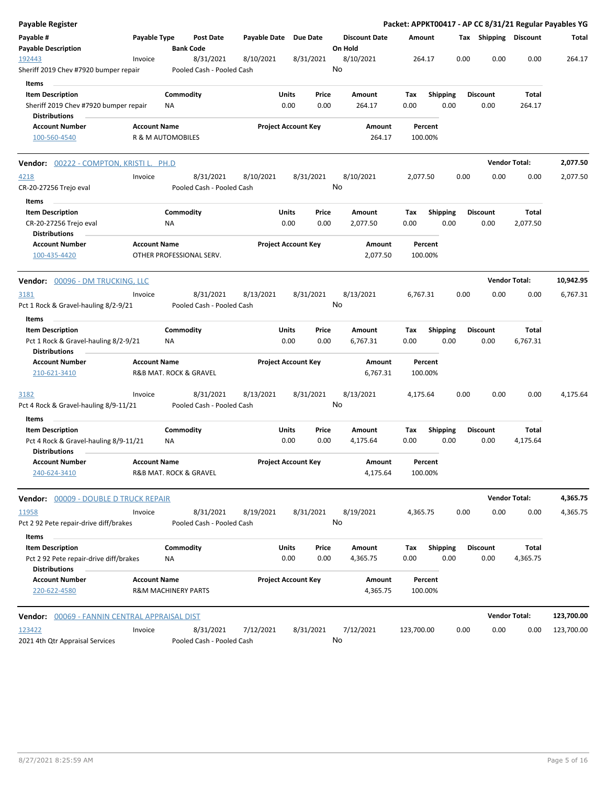| <b>Payable Register</b>                                        |                     |                                |                       |                            |           |                      |                    |                 |      |                       |                      | Packet: APPKT00417 - AP CC 8/31/21 Regular Payables YG |
|----------------------------------------------------------------|---------------------|--------------------------------|-----------------------|----------------------------|-----------|----------------------|--------------------|-----------------|------|-----------------------|----------------------|--------------------------------------------------------|
| Payable #<br><b>Payable Description</b>                        | Payable Type        | Post Date<br><b>Bank Code</b>  | Payable Date Due Date |                            | On Hold   | <b>Discount Date</b> | Amount             |                 |      | Tax Shipping Discount |                      | Total                                                  |
| 192443                                                         | Invoice             | 8/31/2021                      | 8/10/2021             | 8/31/2021                  | 8/10/2021 |                      | 264.17             |                 | 0.00 | 0.00                  | 0.00                 | 264.17                                                 |
| Sheriff 2019 Chev #7920 bumper repair                          |                     | Pooled Cash - Pooled Cash      |                       |                            | No        |                      |                    |                 |      |                       |                      |                                                        |
| Items                                                          |                     |                                |                       |                            |           |                      |                    |                 |      |                       |                      |                                                        |
| <b>Item Description</b>                                        |                     | Commodity                      | Units                 | Price                      |           | Amount               | Tax                | <b>Shipping</b> |      | <b>Discount</b>       | Total                |                                                        |
| Sheriff 2019 Chev #7920 bumper repair<br><b>Distributions</b>  |                     | ΝA                             |                       | 0.00<br>0.00               |           | 264.17               | 0.00               | 0.00            |      | 0.00                  | 264.17               |                                                        |
| <b>Account Number</b>                                          | <b>Account Name</b> |                                |                       | <b>Project Account Key</b> |           | <b>Amount</b>        | Percent            |                 |      |                       |                      |                                                        |
| 100-560-4540                                                   |                     | R & M AUTOMOBILES              |                       |                            |           | 264.17               | 100.00%            |                 |      |                       |                      |                                                        |
| <b>Vendor:</b> 00222 - COMPTON, KRISTI L. PH.D                 |                     |                                |                       |                            |           |                      |                    |                 |      |                       | <b>Vendor Total:</b> | 2,077.50                                               |
| 4218                                                           | Invoice             | 8/31/2021                      | 8/10/2021             | 8/31/2021                  | 8/10/2021 |                      | 2,077.50           |                 | 0.00 | 0.00                  | 0.00                 | 2,077.50                                               |
| CR-20-27256 Trejo eval                                         |                     | Pooled Cash - Pooled Cash      |                       |                            | No        |                      |                    |                 |      |                       |                      |                                                        |
| Items                                                          |                     |                                |                       |                            |           |                      |                    |                 |      |                       |                      |                                                        |
| <b>Item Description</b>                                        |                     | Commodity                      | Units                 | Price                      |           | Amount               | Tax                | <b>Shipping</b> |      | <b>Discount</b>       | Total                |                                                        |
| CR-20-27256 Trejo eval<br><b>Distributions</b>                 |                     | ΝA                             |                       | 0.00<br>0.00               |           | 2,077.50             | 0.00               | 0.00            |      | 0.00                  | 2,077.50             |                                                        |
| <b>Account Number</b>                                          | <b>Account Name</b> |                                |                       | <b>Project Account Key</b> |           | Amount               | Percent            |                 |      |                       |                      |                                                        |
| 100-435-4420                                                   |                     | OTHER PROFESSIONAL SERV.       |                       |                            |           | 2,077.50             | 100.00%            |                 |      |                       |                      |                                                        |
| Vendor: 00096 - DM TRUCKING, LLC                               |                     |                                |                       |                            |           |                      |                    |                 |      |                       | <b>Vendor Total:</b> | 10,942.95                                              |
| 3181                                                           | Invoice             | 8/31/2021                      | 8/13/2021             | 8/31/2021                  | 8/13/2021 |                      | 6,767.31           |                 | 0.00 | 0.00                  | 0.00                 | 6,767.31                                               |
| Pct 1 Rock & Gravel-hauling 8/2-9/21                           |                     | Pooled Cash - Pooled Cash      |                       |                            | No        |                      |                    |                 |      |                       |                      |                                                        |
| Items                                                          |                     |                                |                       |                            |           |                      |                    |                 |      |                       |                      |                                                        |
| <b>Item Description</b>                                        |                     | Commodity                      | Units                 | Price                      |           | Amount               | Tax                | <b>Shipping</b> |      | <b>Discount</b>       | Total                |                                                        |
| Pct 1 Rock & Gravel-hauling 8/2-9/21<br><b>Distributions</b>   |                     | ΝA                             |                       | 0.00<br>0.00               |           | 6,767.31             | 0.00               | 0.00            |      | 0.00                  | 6,767.31             |                                                        |
| <b>Account Number</b><br>210-621-3410                          | <b>Account Name</b> | R&B MAT. ROCK & GRAVEL         |                       | <b>Project Account Key</b> |           | Amount<br>6,767.31   | Percent<br>100.00% |                 |      |                       |                      |                                                        |
| 3182                                                           | Invoice             | 8/31/2021                      | 8/13/2021             | 8/31/2021                  | 8/13/2021 |                      | 4,175.64           |                 | 0.00 | 0.00                  | 0.00                 | 4,175.64                                               |
| Pct 4 Rock & Gravel-hauling 8/9-11/21                          |                     | Pooled Cash - Pooled Cash      |                       |                            | No        |                      |                    |                 |      |                       |                      |                                                        |
| Items<br><b>Item Description</b>                               |                     | Commodity                      | Units                 | Price                      |           | Amount               | Тах                | <b>Shipping</b> |      | <b>Discount</b>       | Total                |                                                        |
| Pct 4 Rock & Gravel-hauling 8/9-11/21<br><b>Distributions</b>  |                     | ΝA                             |                       | 0.00<br>0.00               |           | 4,175.64             | 0.00               | 0.00            |      | 0.00                  | 4,175.64             |                                                        |
| <b>Account Number</b>                                          | <b>Account Name</b> |                                |                       | <b>Project Account Key</b> |           | Amount               | Percent            |                 |      |                       |                      |                                                        |
| 240-624-3410                                                   |                     | R&B MAT. ROCK & GRAVEL         |                       |                            |           | 4,175.64             | 100.00%            |                 |      |                       |                      |                                                        |
| Vendor: 00009 - DOUBLE D TRUCK REPAIR                          |                     |                                |                       |                            |           |                      |                    |                 |      |                       | <b>Vendor Total:</b> | 4,365.75                                               |
| <u>11958</u>                                                   | Invoice             | 8/31/2021                      | 8/19/2021             | 8/31/2021                  | 8/19/2021 |                      | 4,365.75           |                 | 0.00 | 0.00                  | 0.00                 | 4,365.75                                               |
| Pct 2 92 Pete repair-drive diff/brakes                         |                     | Pooled Cash - Pooled Cash      |                       |                            | No        |                      |                    |                 |      |                       |                      |                                                        |
| Items                                                          |                     |                                |                       |                            |           |                      |                    |                 |      |                       |                      |                                                        |
| <b>Item Description</b>                                        |                     | Commodity                      | Units                 | Price                      |           | Amount               | Tax                | <b>Shipping</b> |      | <b>Discount</b>       | Total                |                                                        |
| Pct 2 92 Pete repair-drive diff/brakes<br><b>Distributions</b> |                     | <b>NA</b>                      |                       | 0.00<br>0.00               |           | 4,365.75             | 0.00               | 0.00            |      | 0.00                  | 4,365.75             |                                                        |
| <b>Account Number</b>                                          | <b>Account Name</b> |                                |                       | <b>Project Account Key</b> |           | Amount               | Percent            |                 |      |                       |                      |                                                        |
| 220-622-4580                                                   |                     | <b>R&amp;M MACHINERY PARTS</b> |                       |                            |           | 4,365.75             | 100.00%            |                 |      |                       |                      |                                                        |
| Vendor: 00069 - FANNIN CENTRAL APPRAISAL DIST                  |                     |                                |                       |                            |           |                      |                    |                 |      |                       | <b>Vendor Total:</b> | 123,700.00                                             |
| 123422                                                         | Invoice             | 8/31/2021                      | 7/12/2021             | 8/31/2021                  | 7/12/2021 |                      | 123,700.00         |                 | 0.00 | 0.00                  | 0.00                 | 123,700.00                                             |
| 2021 4th Qtr Appraisal Services                                |                     | Pooled Cash - Pooled Cash      |                       |                            | No        |                      |                    |                 |      |                       |                      |                                                        |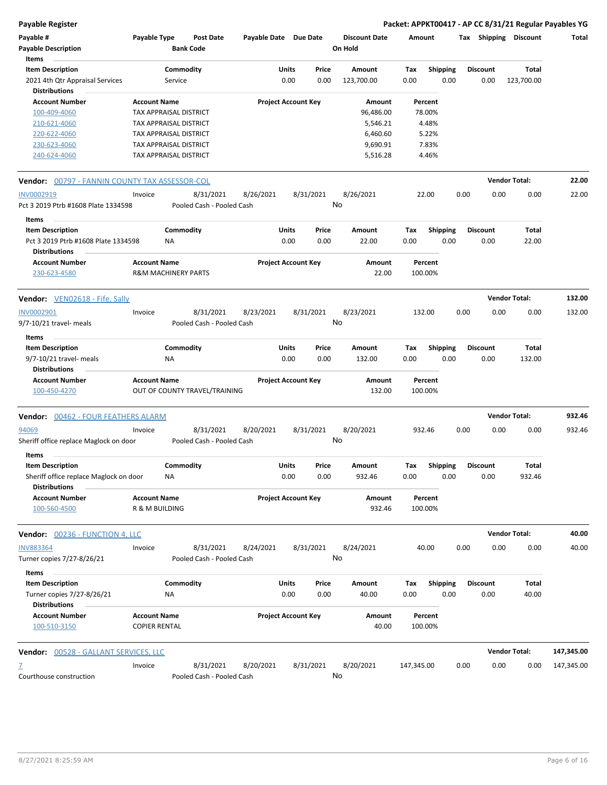**Payable Register Packet: APPKT00417 - AP CC 8/31/21 Regular Payables YG**

| Payable #<br><b>Payable Description</b><br>Items                                          | Payable Type                                          |                      | <b>Post Date</b><br><b>Bank Code</b> | Payable Date Due Date |                            |               | <b>Discount Date</b><br>On Hold | Amount             |                         |      | Tax Shipping            | Discount             | Total      |
|-------------------------------------------------------------------------------------------|-------------------------------------------------------|----------------------|--------------------------------------|-----------------------|----------------------------|---------------|---------------------------------|--------------------|-------------------------|------|-------------------------|----------------------|------------|
| <b>Item Description</b><br>2021 4th Qtr Appraisal Services                                |                                                       | Commodity<br>Service |                                      |                       | Units<br>0.00              | Price<br>0.00 | Amount<br>123,700.00            | Tax<br>0.00        | <b>Shipping</b><br>0.00 |      | <b>Discount</b><br>0.00 | Total<br>123,700.00  |            |
| <b>Distributions</b>                                                                      |                                                       |                      |                                      |                       |                            |               |                                 |                    |                         |      |                         |                      |            |
| <b>Account Number</b>                                                                     | <b>Account Name</b>                                   |                      |                                      |                       | <b>Project Account Key</b> |               | Amount                          | Percent            |                         |      |                         |                      |            |
| 100-409-4060                                                                              | TAX APPRAISAL DISTRICT                                |                      |                                      |                       |                            |               | 96,486.00                       | 78.00%             |                         |      |                         |                      |            |
| 210-621-4060                                                                              | TAX APPRAISAL DISTRICT                                |                      |                                      |                       |                            |               | 5,546.21                        | 4.48%              |                         |      |                         |                      |            |
| 220-622-4060                                                                              | TAX APPRAISAL DISTRICT                                |                      |                                      |                       |                            |               | 6,460.60                        | 5.22%              |                         |      |                         |                      |            |
| 230-623-4060                                                                              | TAX APPRAISAL DISTRICT                                |                      |                                      |                       |                            |               | 9,690.91                        | 7.83%              |                         |      |                         |                      |            |
| 240-624-4060                                                                              | TAX APPRAISAL DISTRICT                                |                      |                                      |                       |                            |               | 5,516.28                        | 4.46%              |                         |      |                         |                      |            |
| Vendor: 00797 - FANNIN COUNTY TAX ASSESSOR-COL                                            |                                                       |                      |                                      |                       |                            |               |                                 |                    |                         |      |                         | <b>Vendor Total:</b> | 22.00      |
| INV0002919                                                                                | Invoice                                               |                      | 8/31/2021                            | 8/26/2021             |                            | 8/31/2021     | 8/26/2021                       | 22.00              |                         | 0.00 | 0.00                    | 0.00                 | 22.00      |
| Pct 3 2019 Ptrb #1608 Plate 1334598                                                       |                                                       |                      | Pooled Cash - Pooled Cash            |                       |                            |               | No                              |                    |                         |      |                         |                      |            |
| Items                                                                                     |                                                       |                      |                                      |                       |                            |               |                                 |                    |                         |      |                         |                      |            |
| <b>Item Description</b>                                                                   |                                                       | Commodity            |                                      |                       | Units                      | Price         | Amount                          | Тах                | <b>Shipping</b>         |      | <b>Discount</b>         | Total                |            |
| Pct 3 2019 Ptrb #1608 Plate 1334598<br><b>Distributions</b>                               |                                                       | NA                   |                                      |                       | 0.00                       | 0.00          | 22.00                           | 0.00               | 0.00                    |      | 0.00                    | 22.00                |            |
| <b>Account Number</b><br>230-623-4580                                                     | <b>Account Name</b><br><b>R&amp;M MACHINERY PARTS</b> |                      |                                      |                       | <b>Project Account Key</b> |               | Amount<br>22.00                 | Percent<br>100.00% |                         |      |                         |                      |            |
| <b>Vendor:</b> VEN02618 - Fife, Sally                                                     |                                                       |                      |                                      |                       |                            |               |                                 |                    |                         |      |                         | <b>Vendor Total:</b> | 132.00     |
| INV0002901                                                                                | Invoice                                               |                      | 8/31/2021                            | 8/23/2021             |                            | 8/31/2021     | 8/23/2021                       | 132.00             |                         | 0.00 | 0.00                    | 0.00                 | 132.00     |
| 9/7-10/21 travel- meals                                                                   |                                                       |                      | Pooled Cash - Pooled Cash            |                       |                            |               | No                              |                    |                         |      |                         |                      |            |
| Items                                                                                     |                                                       |                      |                                      |                       |                            |               |                                 |                    |                         |      |                         |                      |            |
| <b>Item Description</b>                                                                   |                                                       | Commodity            |                                      |                       | Units                      | Price         | Amount                          | Tax                | <b>Shipping</b>         |      | <b>Discount</b>         | Total                |            |
| 9/7-10/21 travel- meals                                                                   |                                                       | ΝA                   |                                      |                       | 0.00                       | 0.00          | 132.00                          | 0.00               | 0.00                    |      | 0.00                    | 132.00               |            |
| <b>Distributions</b><br><b>Account Number</b>                                             | <b>Account Name</b>                                   |                      |                                      |                       | <b>Project Account Key</b> |               | Amount                          | Percent            |                         |      |                         |                      |            |
| 100-450-4270                                                                              |                                                       |                      | OUT OF COUNTY TRAVEL/TRAINING        |                       |                            |               | 132.00                          | 100.00%            |                         |      |                         |                      |            |
| Vendor: 00462 - FOUR FEATHERS ALARM                                                       |                                                       |                      |                                      |                       |                            |               |                                 |                    |                         |      |                         | <b>Vendor Total:</b> | 932.46     |
| 94069                                                                                     | Invoice                                               |                      | 8/31/2021                            | 8/20/2021             |                            | 8/31/2021     | 8/20/2021                       | 932.46             |                         | 0.00 | 0.00                    | 0.00                 | 932.46     |
| Sheriff office replace Maglock on door                                                    |                                                       |                      | Pooled Cash - Pooled Cash            |                       |                            |               | No                              |                    |                         |      |                         |                      |            |
| Items                                                                                     |                                                       | Commodity            |                                      |                       |                            |               |                                 |                    |                         |      | <b>Discount</b>         |                      |            |
| <b>Item Description</b><br>Sheriff office replace Maglock on door<br><b>Distributions</b> |                                                       | NA                   |                                      |                       | Units<br>0.00              | Price<br>0.00 | Amount<br>932.46                | Тах<br>0.00        | <b>Shipping</b><br>0.00 |      | 0.00                    | Total<br>932.46      |            |
| <b>Account Number</b><br>100-560-4500                                                     | <b>Account Name</b><br>R & M BUILDING                 |                      |                                      |                       | <b>Project Account Key</b> |               | Amount<br>932.46                | Percent<br>100.00% |                         |      |                         |                      |            |
| <b>Vendor: 00236 - FUNCTION 4, LLC</b>                                                    |                                                       |                      |                                      |                       |                            |               |                                 |                    |                         |      |                         | <b>Vendor Total:</b> | 40.00      |
| <b>INV883364</b>                                                                          | Invoice                                               |                      | 8/31/2021                            | 8/24/2021             |                            | 8/31/2021     | 8/24/2021                       | 40.00              |                         | 0.00 | 0.00                    | 0.00                 | 40.00      |
| Turner copies 7/27-8/26/21                                                                |                                                       |                      | Pooled Cash - Pooled Cash            |                       |                            |               | No                              |                    |                         |      |                         |                      |            |
| Items<br><b>Item Description</b>                                                          |                                                       | Commodity            |                                      |                       | Units                      | Price         | Amount                          |                    | <b>Shipping</b>         |      | <b>Discount</b>         | Total                |            |
| Turner copies 7/27-8/26/21                                                                |                                                       | ΝA                   |                                      |                       | 0.00                       | 0.00          | 40.00                           | Tax<br>0.00        | 0.00                    |      | 0.00                    | 40.00                |            |
| <b>Distributions</b><br><b>Account Number</b>                                             |                                                       |                      |                                      |                       |                            |               |                                 |                    |                         |      |                         |                      |            |
| 100-510-3150                                                                              | <b>Account Name</b><br><b>COPIER RENTAL</b>           |                      |                                      |                       | <b>Project Account Key</b> |               | Amount<br>40.00                 | Percent<br>100.00% |                         |      |                         |                      |            |
| Vendor: 00528 - GALLANT SERVICES, LLC                                                     |                                                       |                      |                                      |                       |                            |               |                                 |                    |                         |      |                         | <b>Vendor Total:</b> | 147,345.00 |
| Z                                                                                         | Invoice                                               |                      | 8/31/2021                            | 8/20/2021             |                            | 8/31/2021     | 8/20/2021                       | 147,345.00         |                         | 0.00 | 0.00                    | 0.00                 | 147,345.00 |
| Courthouse construction                                                                   |                                                       |                      | Pooled Cash - Pooled Cash            |                       |                            |               | No                              |                    |                         |      |                         |                      |            |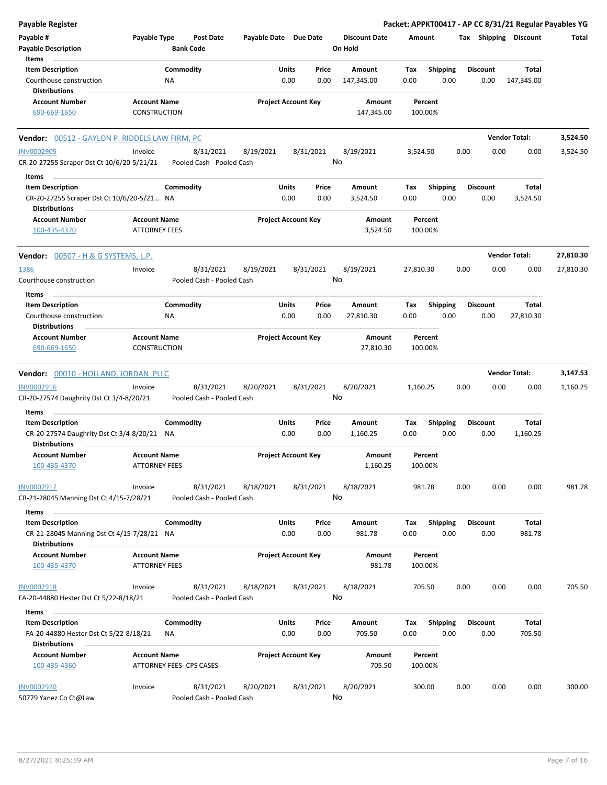| <b>Payable Register</b>                                                                        |                                             |                                        |                       |                            |               |                                 |             |                         |      |                         | Packet: APPKT00417 - AP CC 8/31/21 Regular Payables YG |           |
|------------------------------------------------------------------------------------------------|---------------------------------------------|----------------------------------------|-----------------------|----------------------------|---------------|---------------------------------|-------------|-------------------------|------|-------------------------|--------------------------------------------------------|-----------|
| Payable #<br><b>Payable Description</b>                                                        | Payable Type                                | <b>Post Date</b><br><b>Bank Code</b>   | Payable Date Due Date |                            |               | <b>Discount Date</b><br>On Hold | Amount      |                         |      |                         | Tax Shipping Discount                                  | Total     |
| Items                                                                                          |                                             |                                        |                       |                            |               |                                 |             |                         |      |                         |                                                        |           |
| <b>Item Description</b><br>Courthouse construction<br><b>Distributions</b>                     |                                             | Commodity<br><b>NA</b>                 |                       | Units<br>0.00              | Price<br>0.00 | Amount<br>147,345.00            | Tax<br>0.00 | <b>Shipping</b><br>0.00 |      | <b>Discount</b><br>0.00 | Total<br>147,345.00                                    |           |
| <b>Account Number</b>                                                                          | <b>Account Name</b>                         |                                        |                       | <b>Project Account Key</b> |               | Amount                          |             | Percent                 |      |                         |                                                        |           |
| 690-669-1650                                                                                   | CONSTRUCTION                                |                                        |                       |                            |               | 147,345.00                      |             | 100.00%                 |      |                         |                                                        |           |
| <b>Vendor:</b> 00512 - GAYLON P. RIDDELS LAW FIRM, PC                                          |                                             |                                        |                       |                            |               |                                 |             |                         |      |                         | <b>Vendor Total:</b>                                   | 3,524.50  |
| <b>INV0002905</b><br>CR-20-27255 Scraper Dst Ct 10/6/20-5/21/21                                | Invoice                                     | 8/31/2021<br>Pooled Cash - Pooled Cash | 8/19/2021             |                            | 8/31/2021     | 8/19/2021<br>No                 | 3,524.50    |                         | 0.00 | 0.00                    | 0.00                                                   | 3,524.50  |
| Items                                                                                          |                                             |                                        |                       |                            |               |                                 |             |                         |      |                         |                                                        |           |
| <b>Item Description</b><br>CR-20-27255 Scraper Dst Ct 10/6/20-5/21 NA<br><b>Distributions</b>  |                                             | Commodity                              |                       | <b>Units</b><br>0.00       | Price<br>0.00 | Amount<br>3,524.50              | Тах<br>0.00 | <b>Shipping</b><br>0.00 |      | <b>Discount</b><br>0.00 | Total<br>3,524.50                                      |           |
| <b>Account Number</b><br>100-435-4370                                                          | <b>Account Name</b><br><b>ATTORNEY FEES</b> |                                        |                       | <b>Project Account Key</b> |               | Amount<br>3,524.50              |             | Percent<br>100.00%      |      |                         |                                                        |           |
| <b>Vendor:</b> 00507 - H & G SYSTEMS, L.P.                                                     |                                             |                                        |                       |                            |               |                                 |             |                         |      |                         | <b>Vendor Total:</b>                                   | 27,810.30 |
| 1386<br>Courthouse construction                                                                | Invoice                                     | 8/31/2021<br>Pooled Cash - Pooled Cash | 8/19/2021             |                            | 8/31/2021     | 8/19/2021<br>No                 | 27,810.30   |                         | 0.00 | 0.00                    | 0.00                                                   | 27,810.30 |
| Items                                                                                          |                                             |                                        |                       |                            |               |                                 |             |                         |      |                         |                                                        |           |
| <b>Item Description</b>                                                                        |                                             | Commodity                              |                       | Units                      | Price         | Amount                          | Тах         | <b>Shipping</b>         |      | <b>Discount</b>         | Total                                                  |           |
| Courthouse construction<br><b>Distributions</b>                                                |                                             | NA                                     |                       | 0.00                       | 0.00          | 27,810.30                       | 0.00        | 0.00                    |      | 0.00                    | 27,810.30                                              |           |
| <b>Account Number</b><br>690-669-1650                                                          | <b>Account Name</b><br><b>CONSTRUCTION</b>  |                                        |                       | <b>Project Account Key</b> |               | Amount<br>27,810.30             |             | Percent<br>100.00%      |      |                         |                                                        |           |
| Vendor: 00010 - HOLLAND, JORDAN PLLC                                                           |                                             |                                        |                       |                            |               |                                 |             |                         |      |                         | <b>Vendor Total:</b>                                   | 3,147.53  |
| INV0002916<br>CR-20-27574 Daughrity Dst Ct 3/4-8/20/21                                         | Invoice                                     | 8/31/2021<br>Pooled Cash - Pooled Cash | 8/20/2021             |                            | 8/31/2021     | 8/20/2021<br>No                 | 1,160.25    |                         | 0.00 | 0.00                    | 0.00                                                   | 1,160.25  |
| Items                                                                                          |                                             |                                        |                       |                            |               |                                 |             |                         |      |                         |                                                        |           |
| <b>Item Description</b><br>CR-20-27574 Daughrity Dst Ct 3/4-8/20/21 NA<br><b>Distributions</b> |                                             | Commodity                              |                       | Units<br>0.00              | Price<br>0.00 | Amount<br>1,160.25              | Тах<br>0.00 | <b>Shipping</b><br>0.00 |      | <b>Discount</b><br>0.00 | Total<br>1,160.25                                      |           |
| <b>Account Number</b><br>100-435-4370                                                          | <b>Account Name</b><br><b>ATTORNEY FEES</b> |                                        |                       | <b>Project Account Key</b> |               | Amount<br>1,160.25              |             | Percent<br>100.00%      |      |                         |                                                        |           |
| INV0002917<br>CR-21-28045 Manning Dst Ct 4/15-7/28/21                                          | Invoice                                     | 8/31/2021<br>Pooled Cash - Pooled Cash | 8/18/2021             |                            | 8/31/2021     | 8/18/2021<br>No                 |             | 981.78                  | 0.00 | 0.00                    | 0.00                                                   | 981.78    |
| Items                                                                                          |                                             |                                        |                       |                            |               |                                 |             |                         |      |                         |                                                        |           |
| <b>Item Description</b><br>CR-21-28045 Manning Dst Ct 4/15-7/28/21 NA                          |                                             | Commodity                              |                       | Units<br>0.00              | Price<br>0.00 | Amount<br>981.78                | Tax<br>0.00 | <b>Shipping</b><br>0.00 |      | <b>Discount</b><br>0.00 | Total<br>981.78                                        |           |
| <b>Distributions</b><br><b>Account Number</b>                                                  | <b>Account Name</b>                         |                                        |                       | <b>Project Account Key</b> |               | <b>Amount</b>                   |             | Percent                 |      |                         |                                                        |           |
| 100-435-4370                                                                                   | <b>ATTORNEY FEES</b>                        |                                        |                       |                            |               | 981.78                          |             | 100.00%                 |      |                         |                                                        |           |
| <b>INV0002918</b><br>FA-20-44880 Hester Dst Ct 5/22-8/18/21                                    | Invoice                                     | 8/31/2021<br>Pooled Cash - Pooled Cash | 8/18/2021             |                            | 8/31/2021     | 8/18/2021<br>No                 |             | 705.50                  | 0.00 | 0.00                    | 0.00                                                   | 705.50    |
| Items                                                                                          |                                             |                                        |                       |                            |               |                                 |             |                         |      |                         |                                                        |           |
| <b>Item Description</b><br>FA-20-44880 Hester Dst Ct 5/22-8/18/21                              |                                             | Commodity<br>NA                        |                       | <b>Units</b><br>0.00       | Price<br>0.00 | Amount<br>705.50                | Tax<br>0.00 | <b>Shipping</b><br>0.00 |      | <b>Discount</b><br>0.00 | Total<br>705.50                                        |           |
| <b>Distributions</b>                                                                           |                                             |                                        |                       |                            |               |                                 |             |                         |      |                         |                                                        |           |
| <b>Account Number</b><br>100-435-4360                                                          | <b>Account Name</b>                         | ATTORNEY FEES- CPS CASES               |                       | <b>Project Account Key</b> |               | Amount<br>705.50                |             | Percent<br>100.00%      |      |                         |                                                        |           |
| <b>INV0002920</b><br>50779 Yanez Co Ct@Law                                                     | Invoice                                     | 8/31/2021<br>Pooled Cash - Pooled Cash | 8/20/2021             |                            | 8/31/2021     | 8/20/2021<br>No                 |             | 300.00                  | 0.00 | 0.00                    | 0.00                                                   | 300.00    |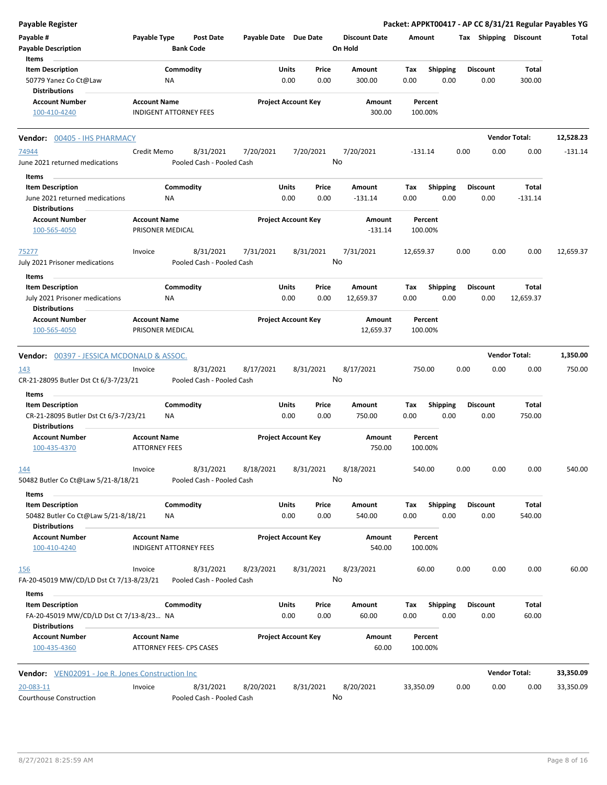| Payable Register                                                                            |                      |                                        |                       |                            |               |                                 |             |                         |      |                         |                        | Packet: APPKT00417 - AP CC 8/31/21 Regular Payables YG |
|---------------------------------------------------------------------------------------------|----------------------|----------------------------------------|-----------------------|----------------------------|---------------|---------------------------------|-------------|-------------------------|------|-------------------------|------------------------|--------------------------------------------------------|
| Payable #<br><b>Payable Description</b>                                                     | Payable Type         | <b>Post Date</b><br><b>Bank Code</b>   | Payable Date Due Date |                            |               | <b>Discount Date</b><br>On Hold | Amount      |                         |      | Tax Shipping Discount   |                        | Total                                                  |
| Items                                                                                       |                      |                                        |                       |                            |               |                                 |             |                         |      |                         |                        |                                                        |
| <b>Item Description</b><br>50779 Yanez Co Ct@Law                                            |                      | Commodity<br>ΝA                        |                       | Units<br>0.00              | Price<br>0.00 | Amount<br>300.00                | Tax<br>0.00 | <b>Shipping</b><br>0.00 |      | <b>Discount</b><br>0.00 | <b>Total</b><br>300.00 |                                                        |
| <b>Distributions</b>                                                                        |                      |                                        |                       |                            |               |                                 |             |                         |      |                         |                        |                                                        |
| <b>Account Number</b><br>100-410-4240                                                       | <b>Account Name</b>  | <b>INDIGENT ATTORNEY FEES</b>          |                       | <b>Project Account Key</b> |               | Amount<br>300.00                |             | Percent<br>100.00%      |      |                         |                        |                                                        |
| Vendor: 00405 - IHS PHARMACY                                                                |                      |                                        |                       |                            |               |                                 |             |                         |      |                         | <b>Vendor Total:</b>   | 12,528.23                                              |
| 74944                                                                                       | Credit Memo          | 8/31/2021                              | 7/20/2021             |                            | 7/20/2021     | 7/20/2021                       | $-131.14$   |                         | 0.00 | 0.00                    | 0.00                   | $-131.14$                                              |
| June 2021 returned medications                                                              |                      | Pooled Cash - Pooled Cash              |                       |                            |               | No                              |             |                         |      |                         |                        |                                                        |
| Items                                                                                       |                      |                                        |                       |                            |               |                                 |             |                         |      |                         |                        |                                                        |
| <b>Item Description</b>                                                                     |                      | Commodity                              |                       | Units                      | Price         | Amount                          | Tax         | <b>Shipping</b>         |      | <b>Discount</b>         | Total                  |                                                        |
| June 2021 returned medications                                                              |                      | <b>NA</b>                              |                       | 0.00                       | 0.00          | $-131.14$                       | 0.00        | 0.00                    |      | 0.00                    | $-131.14$              |                                                        |
| <b>Distributions</b><br><b>Account Number</b>                                               | <b>Account Name</b>  |                                        |                       | <b>Project Account Key</b> |               | Amount                          |             | Percent                 |      |                         |                        |                                                        |
| 100-565-4050                                                                                |                      | PRISONER MEDICAL                       |                       |                            |               | $-131.14$                       |             | 100.00%                 |      |                         |                        |                                                        |
| 75277                                                                                       | Invoice              | 8/31/2021                              | 7/31/2021             |                            | 8/31/2021     | 7/31/2021                       | 12,659.37   |                         | 0.00 | 0.00                    | 0.00                   | 12,659.37                                              |
| July 2021 Prisoner medications                                                              |                      | Pooled Cash - Pooled Cash              |                       |                            |               | No                              |             |                         |      |                         |                        |                                                        |
| Items                                                                                       |                      |                                        |                       |                            |               |                                 |             |                         |      |                         |                        |                                                        |
| <b>Item Description</b>                                                                     |                      | Commodity                              |                       | Units                      | Price         | Amount                          | Tax         | <b>Shipping</b>         |      | <b>Discount</b>         | Total                  |                                                        |
| July 2021 Prisoner medications                                                              |                      | <b>NA</b>                              |                       | 0.00                       | 0.00          | 12,659.37                       | 0.00        | 0.00                    |      | 0.00                    | 12,659.37              |                                                        |
| <b>Distributions</b><br><b>Account Number</b>                                               | <b>Account Name</b>  |                                        |                       | <b>Project Account Key</b> |               | Amount                          |             | Percent                 |      |                         |                        |                                                        |
| 100-565-4050                                                                                |                      | PRISONER MEDICAL                       |                       |                            |               | 12,659.37                       |             | 100.00%                 |      |                         |                        |                                                        |
|                                                                                             |                      |                                        |                       |                            |               |                                 |             |                         |      |                         | <b>Vendor Total:</b>   |                                                        |
| <b>Vendor: 00397 - JESSICA MCDONALD &amp; ASSOC.</b>                                        |                      |                                        |                       |                            |               |                                 |             |                         |      |                         |                        | 1,350.00                                               |
| 143<br>CR-21-28095 Butler Dst Ct 6/3-7/23/21                                                | Invoice              | 8/31/2021<br>Pooled Cash - Pooled Cash | 8/17/2021             |                            | 8/31/2021     | 8/17/2021<br>No                 |             | 750.00                  | 0.00 | 0.00                    | 0.00                   | 750.00                                                 |
| Items                                                                                       |                      |                                        |                       |                            |               |                                 |             |                         |      |                         |                        |                                                        |
| <b>Item Description</b>                                                                     |                      | Commodity                              |                       | Units                      | Price         | Amount                          | Tax         | <b>Shipping</b>         |      | <b>Discount</b>         | Total                  |                                                        |
| CR-21-28095 Butler Dst Ct 6/3-7/23/21<br><b>Distributions</b>                               |                      | <b>NA</b>                              |                       | 0.00                       | 0.00          | 750.00                          | 0.00        | 0.00                    |      | 0.00                    | 750.00                 |                                                        |
| <b>Account Number</b>                                                                       | <b>Account Name</b>  |                                        |                       | <b>Project Account Key</b> |               | Amount                          |             | Percent                 |      |                         |                        |                                                        |
| 100-435-4370                                                                                | <b>ATTORNEY FEES</b> |                                        |                       |                            |               | 750.00                          |             | 100.00%                 |      |                         |                        |                                                        |
| 144                                                                                         | Invoice              | 8/31/2021                              | 8/18/2021             |                            | 8/31/2021     | 8/18/2021                       |             | 540.00                  | 0.00 | 0.00                    | 0.00                   | 540.00                                                 |
| 50482 Butler Co Ct@Law 5/21-8/18/21                                                         |                      | Pooled Cash - Pooled Cash              |                       |                            |               | No                              |             |                         |      |                         |                        |                                                        |
| Items                                                                                       |                      |                                        |                       |                            |               |                                 |             |                         |      |                         |                        |                                                        |
| <b>Item Description</b>                                                                     |                      | Commodity                              |                       | Units                      | Price         | Amount                          | Tax         | <b>Shipping</b>         |      | <b>Discount</b>         | Total                  |                                                        |
| 50482 Butler Co Ct@Law 5/21-8/18/21<br><b>Distributions</b>                                 |                      | ΝA                                     |                       | 0.00                       | 0.00          | 540.00                          | 0.00        | 0.00                    |      | 0.00                    | 540.00                 |                                                        |
| <b>Account Number</b>                                                                       | <b>Account Name</b>  |                                        |                       | <b>Project Account Key</b> |               | Amount                          |             | Percent                 |      |                         |                        |                                                        |
| 100-410-4240                                                                                |                      | <b>INDIGENT ATTORNEY FEES</b>          |                       |                            |               | 540.00                          |             | 100.00%                 |      |                         |                        |                                                        |
| <u>156</u>                                                                                  | Invoice              | 8/31/2021                              | 8/23/2021             |                            | 8/31/2021     | 8/23/2021                       |             | 60.00                   | 0.00 | 0.00                    | 0.00                   | 60.00                                                  |
| FA-20-45019 MW/CD/LD Dst Ct 7/13-8/23/21                                                    |                      | Pooled Cash - Pooled Cash              |                       |                            |               | No                              |             |                         |      |                         |                        |                                                        |
| Items                                                                                       |                      | Commodity                              |                       | Units                      | Price         |                                 |             |                         |      |                         | Total                  |                                                        |
| <b>Item Description</b><br>FA-20-45019 MW/CD/LD Dst Ct 7/13-8/23 NA<br><b>Distributions</b> |                      |                                        |                       | 0.00                       | 0.00          | Amount<br>60.00                 | Тах<br>0.00 | <b>Shipping</b><br>0.00 |      | <b>Discount</b><br>0.00 | 60.00                  |                                                        |
| <b>Account Number</b>                                                                       | <b>Account Name</b>  |                                        |                       | <b>Project Account Key</b> |               | Amount                          |             | Percent                 |      |                         |                        |                                                        |
| 100-435-4360                                                                                |                      | ATTORNEY FEES- CPS CASES               |                       |                            |               | 60.00                           |             | 100.00%                 |      |                         |                        |                                                        |
| Vendor: VEN02091 - Joe R. Jones Construction Inc                                            |                      |                                        |                       |                            |               |                                 |             |                         |      |                         | <b>Vendor Total:</b>   | 33,350.09                                              |
|                                                                                             |                      |                                        |                       |                            |               |                                 |             |                         |      |                         |                        |                                                        |
| 20-083-11<br>Courthouse Construction                                                        | Invoice              | 8/31/2021<br>Pooled Cash - Pooled Cash | 8/20/2021             |                            | 8/31/2021     | 8/20/2021<br>No                 | 33,350.09   |                         | 0.00 | 0.00                    | 0.00                   | 33,350.09                                              |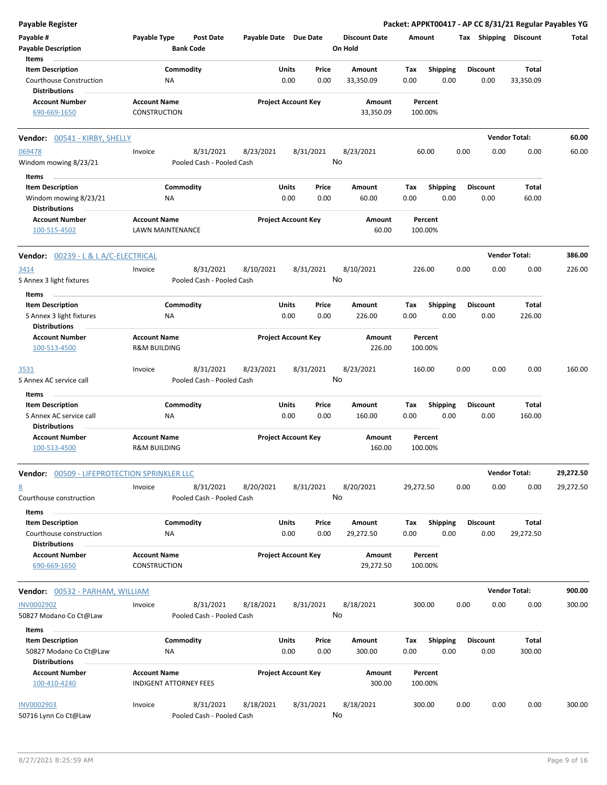| <b>Payable Register</b>                            |                                                      |                                        |                       |                            |               |                                 |             |                         |      |                         | Packet: APPKT00417 - AP CC 8/31/21 Regular Payables YG |           |
|----------------------------------------------------|------------------------------------------------------|----------------------------------------|-----------------------|----------------------------|---------------|---------------------------------|-------------|-------------------------|------|-------------------------|--------------------------------------------------------|-----------|
| Payable #<br><b>Payable Description</b>            | Payable Type                                         | <b>Post Date</b><br><b>Bank Code</b>   | Payable Date Due Date |                            |               | <b>Discount Date</b><br>On Hold | Amount      |                         |      |                         | Tax Shipping Discount                                  | Total     |
| Items<br><b>Item Description</b>                   | Commodity                                            |                                        |                       | Units                      | Price         | Amount                          | Tax         | <b>Shipping</b>         |      | <b>Discount</b>         | Total                                                  |           |
| Courthouse Construction<br><b>Distributions</b>    | <b>NA</b>                                            |                                        |                       | 0.00                       | 0.00          | 33,350.09                       | 0.00        | 0.00                    |      | 0.00                    | 33,350.09                                              |           |
| <b>Account Number</b>                              | <b>Account Name</b>                                  |                                        |                       | <b>Project Account Key</b> |               | Amount                          |             | Percent                 |      |                         |                                                        |           |
| 690-669-1650                                       | <b>CONSTRUCTION</b>                                  |                                        |                       |                            |               | 33,350.09                       |             | 100.00%                 |      |                         |                                                        |           |
| Vendor: 00541 - KIRBY, SHELLY                      |                                                      |                                        |                       |                            |               |                                 |             |                         |      |                         | <b>Vendor Total:</b>                                   | 60.00     |
| 069478<br>Windom mowing 8/23/21                    | Invoice                                              | 8/31/2021<br>Pooled Cash - Pooled Cash | 8/23/2021             | 8/31/2021                  |               | 8/23/2021<br>No                 |             | 60.00                   | 0.00 | 0.00                    | 0.00                                                   | 60.00     |
| Items<br><b>Item Description</b>                   | Commodity                                            |                                        |                       | Units                      | Price         | Amount                          | Tax         |                         |      | <b>Discount</b>         | Total                                                  |           |
| Windom mowing 8/23/21<br><b>Distributions</b>      | ΝA                                                   |                                        |                       | 0.00                       | 0.00          | 60.00                           | 0.00        | <b>Shipping</b><br>0.00 |      | 0.00                    | 60.00                                                  |           |
| <b>Account Number</b>                              | <b>Account Name</b>                                  |                                        |                       | <b>Project Account Key</b> |               | Amount                          |             | Percent                 |      |                         |                                                        |           |
| 100-515-4502                                       | LAWN MAINTENANCE                                     |                                        |                       |                            |               | 60.00                           |             | 100.00%                 |      |                         |                                                        |           |
| <b>Vendor: 00239 - L &amp; L A/C-ELECTRICAL</b>    |                                                      |                                        |                       |                            |               |                                 |             |                         |      |                         | <b>Vendor Total:</b>                                   | 386.00    |
| 3414<br>S Annex 3 light fixtures                   | Invoice                                              | 8/31/2021<br>Pooled Cash - Pooled Cash | 8/10/2021             | 8/31/2021                  |               | 8/10/2021<br>No                 |             | 226.00                  | 0.00 | 0.00                    | 0.00                                                   | 226.00    |
| Items<br><b>Item Description</b>                   | Commodity                                            |                                        |                       | Units                      | Price         | Amount                          | Tax         | <b>Shipping</b>         |      | <b>Discount</b>         | Total                                                  |           |
| S Annex 3 light fixtures<br><b>Distributions</b>   | ΝA                                                   |                                        |                       | 0.00                       | 0.00          | 226.00                          | 0.00        | 0.00                    |      | 0.00                    | 226.00                                                 |           |
| <b>Account Number</b><br>100-513-4500              | <b>Account Name</b><br><b>R&amp;M BUILDING</b>       |                                        |                       | <b>Project Account Key</b> |               | Amount<br>226.00                |             | Percent<br>100.00%      |      |                         |                                                        |           |
| 3531<br>S Annex AC service call                    | Invoice                                              | 8/31/2021<br>Pooled Cash - Pooled Cash | 8/23/2021             | 8/31/2021                  |               | 8/23/2021<br>No                 |             | 160.00                  | 0.00 | 0.00                    | 0.00                                                   | 160.00    |
| Items                                              |                                                      |                                        |                       |                            |               |                                 |             |                         |      |                         |                                                        |           |
| <b>Item Description</b><br>S Annex AC service call | Commodity<br>NA                                      |                                        |                       | Units<br>0.00              | Price<br>0.00 | Amount<br>160.00                | Tax<br>0.00 | <b>Shipping</b><br>0.00 |      | <b>Discount</b><br>0.00 | Total<br>160.00                                        |           |
| <b>Distributions</b><br><b>Account Number</b>      | <b>Account Name</b>                                  |                                        |                       | <b>Project Account Key</b> |               | Amount                          |             | Percent                 |      |                         |                                                        |           |
| 100-513-4500                                       | <b>R&amp;M BUILDING</b>                              |                                        |                       |                            |               | 160.00                          |             | 100.00%                 |      |                         |                                                        |           |
| Vendor: 00509 - LIFEPROTECTION SPRINKLER LLC       |                                                      |                                        |                       |                            |               |                                 |             |                         |      |                         | <b>Vendor Total:</b>                                   | 29,272.50 |
| <u>8</u><br>Courthouse construction                | Invoice                                              | 8/31/2021<br>Pooled Cash - Pooled Cash | 8/20/2021             | 8/31/2021                  |               | 8/20/2021<br>No                 | 29,272.50   |                         | 0.00 | 0.00                    | 0.00                                                   | 29,272.50 |
| Items<br><b>Item Description</b>                   | Commodity                                            |                                        |                       | Units                      | Price         | Amount                          | Tax         | <b>Shipping</b>         |      | <b>Discount</b>         | Total                                                  |           |
| Courthouse construction<br><b>Distributions</b>    | ΝA                                                   |                                        |                       | 0.00                       | 0.00          | 29,272.50                       | 0.00        | 0.00                    |      | 0.00                    | 29,272.50                                              |           |
| <b>Account Number</b><br>690-669-1650              | <b>Account Name</b><br>CONSTRUCTION                  |                                        |                       | <b>Project Account Key</b> |               | Amount<br>29,272.50             |             | Percent<br>100.00%      |      |                         |                                                        |           |
| <b>Vendor:</b> 00532 - PARHAM, WILLIAM             |                                                      |                                        |                       |                            |               |                                 |             |                         |      |                         | <b>Vendor Total:</b>                                   | 900.00    |
| <b>INV0002902</b>                                  | Invoice                                              | 8/31/2021                              | 8/18/2021             | 8/31/2021                  |               | 8/18/2021                       |             | 300.00                  | 0.00 | 0.00                    | 0.00                                                   | 300.00    |
| 50827 Modano Co Ct@Law                             |                                                      | Pooled Cash - Pooled Cash              |                       |                            |               | No                              |             |                         |      |                         |                                                        |           |
| Items<br><b>Item Description</b>                   | Commodity                                            |                                        |                       | Units                      | Price         | Amount                          | Tax         | <b>Shipping</b>         |      | <b>Discount</b>         | Total                                                  |           |
| 50827 Modano Co Ct@Law<br><b>Distributions</b>     | NA                                                   |                                        |                       | 0.00                       | 0.00          | 300.00                          | 0.00        | 0.00                    |      | 0.00                    | 300.00                                                 |           |
| <b>Account Number</b><br>100-410-4240              | <b>Account Name</b><br><b>INDIGENT ATTORNEY FEES</b> |                                        |                       | <b>Project Account Key</b> |               | Amount<br>300.00                |             | Percent<br>100.00%      |      |                         |                                                        |           |
| <b>INV0002903</b><br>50716 Lynn Co Ct@Law          | Invoice                                              | 8/31/2021<br>Pooled Cash - Pooled Cash | 8/18/2021             | 8/31/2021                  |               | 8/18/2021<br>No                 |             | 300.00                  | 0.00 | 0.00                    | 0.00                                                   | 300.00    |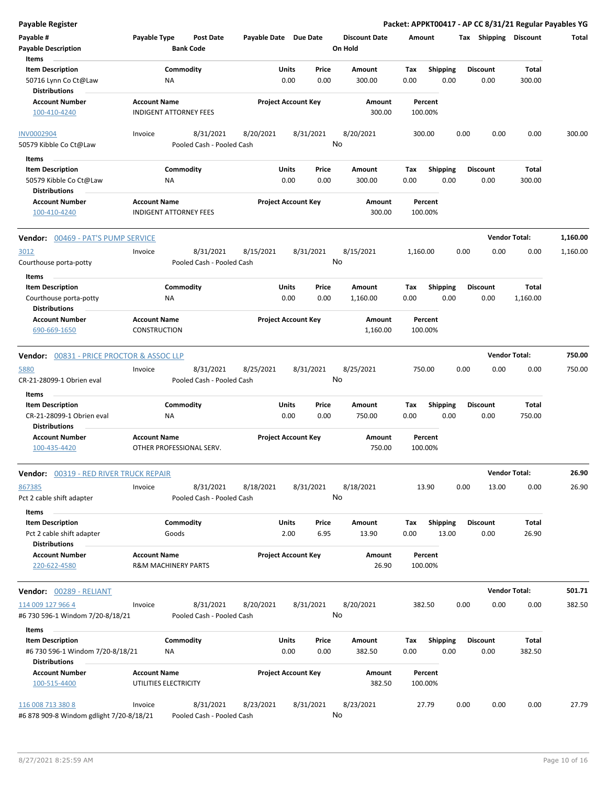| <b>Payable Register</b>                                                                      |                                     |                                |                                        |                       |                      |                            |                                 |             |                          |      |                         | Packet: APPKT00417 - AP CC 8/31/21 Regular Payables YG |          |
|----------------------------------------------------------------------------------------------|-------------------------------------|--------------------------------|----------------------------------------|-----------------------|----------------------|----------------------------|---------------------------------|-------------|--------------------------|------|-------------------------|--------------------------------------------------------|----------|
| Payable #<br><b>Payable Description</b>                                                      | Payable Type                        | <b>Bank Code</b>               | <b>Post Date</b>                       | Payable Date Due Date |                      |                            | <b>Discount Date</b><br>On Hold | Amount      |                          |      | Tax Shipping Discount   |                                                        | Total    |
| Items<br><b>Item Description</b><br>50716 Lynn Co Ct@Law<br><b>Distributions</b>             |                                     | Commodity<br>ΝA                |                                        |                       | Units<br>0.00        | Price<br>0.00              | Amount<br>300.00                | Tax<br>0.00 | <b>Shipping</b><br>0.00  |      | <b>Discount</b><br>0.00 | Total<br>300.00                                        |          |
| <b>Account Number</b><br>100-410-4240                                                        | <b>Account Name</b>                 | <b>INDIGENT ATTORNEY FEES</b>  |                                        |                       |                      | <b>Project Account Key</b> | Amount<br>300.00                |             | Percent<br>100.00%       |      |                         |                                                        |          |
| <b>INV0002904</b><br>50579 Kibble Co Ct@Law                                                  | Invoice                             |                                | 8/31/2021<br>Pooled Cash - Pooled Cash | 8/20/2021             |                      | 8/31/2021                  | 8/20/2021<br>No                 |             | 300.00                   | 0.00 | 0.00                    | 0.00                                                   | 300.00   |
| Items<br><b>Item Description</b><br>50579 Kibble Co Ct@Law<br><b>Distributions</b>           |                                     | Commodity<br>ΝA                |                                        |                       | Units<br>0.00        | Price<br>0.00              | Amount<br>300.00                | Tax<br>0.00 | <b>Shipping</b><br>0.00  |      | <b>Discount</b><br>0.00 | Total<br>300.00                                        |          |
| <b>Account Number</b><br>100-410-4240                                                        | <b>Account Name</b>                 | <b>INDIGENT ATTORNEY FEES</b>  |                                        |                       |                      | <b>Project Account Key</b> | Amount<br>300.00                |             | Percent<br>100.00%       |      |                         |                                                        |          |
| Vendor: 00469 - PAT'S PUMP SERVICE                                                           |                                     |                                |                                        |                       |                      |                            |                                 |             |                          |      |                         | <b>Vendor Total:</b>                                   | 1,160.00 |
| 3012<br>Courthouse porta-potty                                                               | Invoice                             |                                | 8/31/2021<br>Pooled Cash - Pooled Cash | 8/15/2021             |                      | 8/31/2021                  | 8/15/2021<br>No                 | 1,160.00    |                          | 0.00 | 0.00                    | 0.00                                                   | 1,160.00 |
| Items<br><b>Item Description</b><br>Courthouse porta-potty<br><b>Distributions</b>           |                                     | Commodity<br>NA                |                                        |                       | Units<br>0.00        | Price<br>0.00              | Amount<br>1,160.00              | Tax<br>0.00 | <b>Shipping</b><br>0.00  |      | <b>Discount</b><br>0.00 | Total<br>1,160.00                                      |          |
| <b>Account Number</b><br>690-669-1650                                                        | <b>Account Name</b><br>CONSTRUCTION |                                |                                        |                       |                      | <b>Project Account Key</b> | Amount<br>1,160.00              |             | Percent<br>100.00%       |      |                         |                                                        |          |
| <b>Vendor: 00831 - PRICE PROCTOR &amp; ASSOC LLP</b>                                         |                                     |                                |                                        |                       |                      |                            |                                 |             |                          |      |                         | <b>Vendor Total:</b>                                   | 750.00   |
| 5880<br>CR-21-28099-1 Obrien eval                                                            | Invoice                             |                                | 8/31/2021<br>Pooled Cash - Pooled Cash | 8/25/2021             |                      | 8/31/2021                  | 8/25/2021<br>No                 |             | 750.00                   | 0.00 | 0.00                    | 0.00                                                   | 750.00   |
| Items<br><b>Item Description</b><br>CR-21-28099-1 Obrien eval                                |                                     | Commodity<br>ΝA                |                                        |                       | Units<br>0.00        | Price<br>0.00              | Amount<br>750.00                | Tax<br>0.00 | <b>Shipping</b><br>0.00  |      | <b>Discount</b><br>0.00 | Total<br>750.00                                        |          |
| <b>Distributions</b><br><b>Account Number</b><br>100-435-4420                                | <b>Account Name</b>                 |                                | OTHER PROFESSIONAL SERV.               |                       |                      | <b>Project Account Key</b> | Amount<br>750.00                |             | Percent<br>100.00%       |      |                         |                                                        |          |
| Vendor: 00319 - RED RIVER TRUCK REPAIR                                                       |                                     |                                |                                        |                       |                      |                            |                                 |             |                          |      |                         | <b>Vendor Total:</b>                                   | 26.90    |
| 867385<br>Pct 2 cable shift adapter                                                          | Invoice                             |                                | 8/31/2021<br>Pooled Cash - Pooled Cash | 8/18/2021             |                      | 8/31/2021                  | 8/18/2021<br>No                 |             | 13.90                    | 0.00 | 13.00                   | 0.00                                                   | 26.90    |
| Items<br><b>Item Description</b><br>Pct 2 cable shift adapter<br><b>Distributions</b>        |                                     | Commodity<br>Goods             |                                        |                       | Units<br>2.00        | Price<br>6.95              | Amount<br>13.90                 | Tax<br>0.00 | <b>Shipping</b><br>13.00 |      | <b>Discount</b><br>0.00 | Total<br>26.90                                         |          |
| <b>Account Number</b><br>220-622-4580                                                        | <b>Account Name</b>                 | <b>R&amp;M MACHINERY PARTS</b> |                                        |                       |                      | <b>Project Account Key</b> | Amount<br>26.90                 |             | Percent<br>100.00%       |      |                         |                                                        |          |
| Vendor: 00289 - RELIANT                                                                      |                                     |                                |                                        |                       |                      |                            |                                 |             |                          |      |                         | <b>Vendor Total:</b>                                   | 501.71   |
| 114 009 127 966 4<br>#6 730 596-1 Windom 7/20-8/18/21                                        | Invoice                             |                                | 8/31/2021<br>Pooled Cash - Pooled Cash | 8/20/2021             |                      | 8/31/2021                  | 8/20/2021<br>No                 |             | 382.50                   | 0.00 | 0.00                    | 0.00                                                   | 382.50   |
| Items<br><b>Item Description</b><br>#6 730 596-1 Windom 7/20-8/18/21<br><b>Distributions</b> |                                     | Commodity<br>ΝA                |                                        |                       | <b>Units</b><br>0.00 | Price<br>0.00              | Amount<br>382.50                | Tax<br>0.00 | Shipping<br>0.00         |      | <b>Discount</b><br>0.00 | Total<br>382.50                                        |          |
| <b>Account Number</b><br>100-515-4400                                                        | <b>Account Name</b>                 | UTILITIES ELECTRICITY          |                                        |                       |                      | <b>Project Account Key</b> | Amount<br>382.50                |             | Percent<br>100.00%       |      |                         |                                                        |          |
| 116 008 713 380 8<br>#6 878 909-8 Windom gdlight 7/20-8/18/21                                | Invoice                             |                                | 8/31/2021<br>Pooled Cash - Pooled Cash | 8/23/2021             |                      | 8/31/2021                  | 8/23/2021<br>No                 |             | 27.79                    | 0.00 | 0.00                    | 0.00                                                   | 27.79    |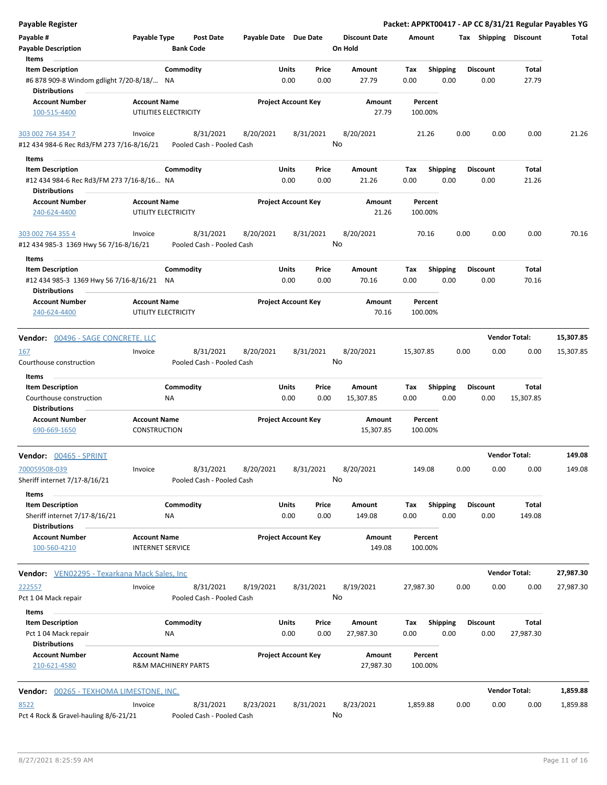| <b>Payable Register</b>                                           |                                                |                                        |                            |       |           |                                 |                    |                 |      |                       |                      | Packet: APPKT00417 - AP CC 8/31/21 Regular Payables YG |
|-------------------------------------------------------------------|------------------------------------------------|----------------------------------------|----------------------------|-------|-----------|---------------------------------|--------------------|-----------------|------|-----------------------|----------------------|--------------------------------------------------------|
| Payable #<br><b>Payable Description</b>                           | Payable Type                                   | <b>Post Date</b><br><b>Bank Code</b>   | Payable Date Due Date      |       |           | <b>Discount Date</b><br>On Hold | Amount             |                 |      | Tax Shipping Discount |                      | Total                                                  |
| Items                                                             |                                                |                                        |                            |       |           |                                 |                    |                 |      |                       |                      |                                                        |
| <b>Item Description</b>                                           |                                                | Commodity                              |                            | Units | Price     | Amount                          | Tax                | <b>Shipping</b> |      | <b>Discount</b>       | Total                |                                                        |
| #6 878 909-8 Windom gdlight 7/20-8/18/ NA<br><b>Distributions</b> |                                                |                                        |                            | 0.00  | 0.00      | 27.79                           | 0.00               | 0.00            |      | 0.00                  | 27.79                |                                                        |
| <b>Account Number</b>                                             | <b>Account Name</b>                            |                                        | <b>Project Account Key</b> |       |           | Amount                          | Percent            |                 |      |                       |                      |                                                        |
| 100-515-4400                                                      | UTILITIES ELECTRICITY                          |                                        |                            |       |           | 27.79                           | 100.00%            |                 |      |                       |                      |                                                        |
| 303 002 764 354 7                                                 | Invoice                                        | 8/31/2021                              | 8/20/2021                  |       | 8/31/2021 | 8/20/2021                       | 21.26              |                 | 0.00 | 0.00                  | 0.00                 | 21.26                                                  |
| #12 434 984-6 Rec Rd3/FM 273 7/16-8/16/21                         |                                                | Pooled Cash - Pooled Cash              |                            |       |           | No                              |                    |                 |      |                       |                      |                                                        |
| Items                                                             |                                                |                                        |                            |       |           |                                 |                    |                 |      |                       |                      |                                                        |
| <b>Item Description</b>                                           |                                                | Commodity                              |                            | Units | Price     | Amount                          | Tax                | <b>Shipping</b> |      | <b>Discount</b>       | Total                |                                                        |
| #12 434 984-6 Rec Rd3/FM 273 7/16-8/16 NA<br><b>Distributions</b> |                                                |                                        |                            | 0.00  | 0.00      | 21.26                           | 0.00               | 0.00            |      | 0.00                  | 21.26                |                                                        |
| <b>Account Number</b>                                             | <b>Account Name</b>                            |                                        | <b>Project Account Key</b> |       |           | Amount                          | Percent            |                 |      |                       |                      |                                                        |
| 240-624-4400                                                      | UTILITY ELECTRICITY                            |                                        |                            |       |           | 21.26                           | 100.00%            |                 |      |                       |                      |                                                        |
| 303 002 764 355 4<br>#12 434 985-3 1369 Hwy 56 7/16-8/16/21       | Invoice                                        | 8/31/2021<br>Pooled Cash - Pooled Cash | 8/20/2021                  |       | 8/31/2021 | 8/20/2021<br>No                 | 70.16              |                 | 0.00 | 0.00                  | 0.00                 | 70.16                                                  |
| Items                                                             |                                                |                                        |                            |       |           |                                 |                    |                 |      |                       |                      |                                                        |
| <b>Item Description</b>                                           |                                                | Commodity                              |                            | Units | Price     | Amount                          | Tax                | Shipping        |      | <b>Discount</b>       | Total                |                                                        |
| #12 434 985-3 1369 Hwy 56 7/16-8/16/21 NA<br><b>Distributions</b> |                                                |                                        |                            | 0.00  | 0.00      | 70.16                           | 0.00               | 0.00            |      | 0.00                  | 70.16                |                                                        |
| <b>Account Number</b><br>240-624-4400                             | <b>Account Name</b><br>UTILITY ELECTRICITY     |                                        | <b>Project Account Key</b> |       |           | Amount<br>70.16                 | Percent<br>100.00% |                 |      |                       |                      |                                                        |
| Vendor: 00496 - SAGE CONCRETE, LLC                                |                                                |                                        |                            |       |           |                                 |                    |                 |      |                       | <b>Vendor Total:</b> | 15,307.85                                              |
| 167                                                               | Invoice                                        | 8/31/2021                              | 8/20/2021                  |       | 8/31/2021 | 8/20/2021                       | 15,307.85          |                 | 0.00 | 0.00                  | 0.00                 | 15,307.85                                              |
| Courthouse construction                                           |                                                | Pooled Cash - Pooled Cash              |                            |       |           | No                              |                    |                 |      |                       |                      |                                                        |
| Items<br><b>Item Description</b>                                  |                                                | Commodity                              |                            | Units | Price     | Amount                          | Tax                | <b>Shipping</b> |      | <b>Discount</b>       | Total                |                                                        |
| Courthouse construction<br>Distributions                          |                                                | <b>NA</b>                              |                            | 0.00  | 0.00      | 15,307.85                       | 0.00               | 0.00            |      | 0.00                  | 15,307.85            |                                                        |
| <b>Account Number</b><br>690-669-1650                             | <b>Account Name</b><br><b>CONSTRUCTION</b>     |                                        | <b>Project Account Key</b> |       |           | Amount<br>15,307.85             | Percent<br>100.00% |                 |      |                       |                      |                                                        |
| Vendor: 00465 - SPRINT                                            |                                                |                                        |                            |       |           |                                 |                    |                 |      | <b>Vendor Total:</b>  |                      | 149.08                                                 |
| 700059508-039<br>Sheriff internet 7/17-8/16/21                    | Invoice                                        | 8/31/2021<br>Pooled Cash - Pooled Cash | 8/20/2021                  |       | 8/31/2021 | 8/20/2021<br>No                 | 149.08             |                 | 0.00 | 0.00                  | 0.00                 | 149.08                                                 |
| Items                                                             |                                                |                                        |                            |       |           |                                 |                    |                 |      |                       |                      |                                                        |
| <b>Item Description</b>                                           |                                                | Commodity                              |                            | Units | Price     | Amount                          | Tax                | <b>Shipping</b> |      | <b>Discount</b>       | Total                |                                                        |
| Sheriff internet 7/17-8/16/21<br><b>Distributions</b>             |                                                | ΝA                                     |                            | 0.00  | 0.00      | 149.08                          | 0.00               | 0.00            |      | 0.00                  | 149.08               |                                                        |
| <b>Account Number</b><br>100-560-4210                             | <b>Account Name</b><br><b>INTERNET SERVICE</b> |                                        | <b>Project Account Key</b> |       |           | Amount<br>149.08                | Percent<br>100.00% |                 |      |                       |                      |                                                        |
| Vendor: VEN02295 - Texarkana Mack Sales, Inc.                     |                                                |                                        |                            |       |           |                                 |                    |                 |      |                       | <b>Vendor Total:</b> | 27,987.30                                              |
| 222557                                                            | Invoice                                        | 8/31/2021                              | 8/19/2021                  |       | 8/31/2021 | 8/19/2021                       | 27,987.30          |                 | 0.00 | 0.00                  | 0.00                 | 27,987.30                                              |
| Pct 104 Mack repair                                               |                                                | Pooled Cash - Pooled Cash              |                            |       |           | No                              |                    |                 |      |                       |                      |                                                        |
| Items<br><b>Item Description</b>                                  |                                                | Commodity                              |                            | Units | Price     | Amount                          | Tax                | Shipping        |      | <b>Discount</b>       | Total                |                                                        |
| Pct 104 Mack repair<br><b>Distributions</b>                       |                                                | NA                                     |                            | 0.00  | 0.00      | 27,987.30                       | 0.00               | 0.00            |      | 0.00                  | 27,987.30            |                                                        |
| <b>Account Number</b><br>210-621-4580                             | <b>Account Name</b>                            | <b>R&amp;M MACHINERY PARTS</b>         | <b>Project Account Key</b> |       |           | Amount<br>27,987.30             | Percent<br>100.00% |                 |      |                       |                      |                                                        |
| Vendor: 00265 - TEXHOMA LIMESTONE, INC.                           |                                                |                                        |                            |       |           |                                 |                    |                 |      |                       | <b>Vendor Total:</b> | 1,859.88                                               |
| 8522                                                              | Invoice                                        | 8/31/2021                              | 8/23/2021                  |       | 8/31/2021 | 8/23/2021                       | 1,859.88           |                 | 0.00 | 0.00                  | 0.00                 | 1,859.88                                               |
| Pct 4 Rock & Gravel-hauling 8/6-21/21                             |                                                | Pooled Cash - Pooled Cash              |                            |       |           | No                              |                    |                 |      |                       |                      |                                                        |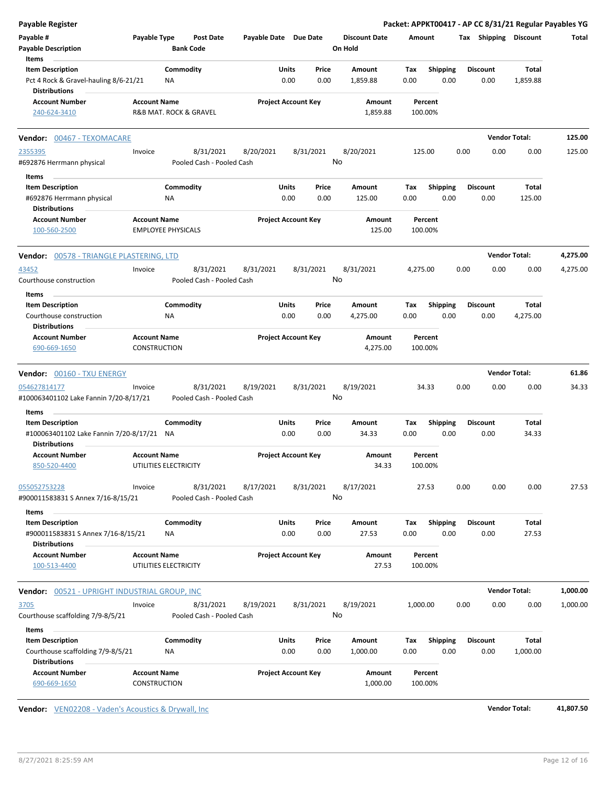| <b>Payable Register</b>                                       |                                                  |                  |                           |                            |               |               |                                 |             |                         |      |                         | Packet: APPKT00417 - AP CC 8/31/21 Regular Payables YG |          |
|---------------------------------------------------------------|--------------------------------------------------|------------------|---------------------------|----------------------------|---------------|---------------|---------------------------------|-------------|-------------------------|------|-------------------------|--------------------------------------------------------|----------|
| Payable #<br><b>Payable Description</b>                       | Payable Type                                     | <b>Bank Code</b> | <b>Post Date</b>          | Payable Date Due Date      |               |               | <b>Discount Date</b><br>On Hold | Amount      |                         |      | Tax Shipping Discount   |                                                        | Total    |
| Items<br><b>Item Description</b>                              |                                                  | Commodity        |                           |                            | Units         | Price         | Amount                          | Tax         | <b>Shipping</b>         |      | <b>Discount</b>         | Total                                                  |          |
| Pct 4 Rock & Gravel-hauling 8/6-21/21<br><b>Distributions</b> |                                                  | ΝA               |                           |                            | 0.00          | 0.00          | 1,859.88                        | 0.00        | 0.00                    |      | 0.00                    | 1,859.88                                               |          |
| <b>Account Number</b><br>240-624-3410                         | <b>Account Name</b><br>R&B MAT. ROCK & GRAVEL    |                  |                           | <b>Project Account Key</b> |               |               | Amount<br>1,859.88              |             | Percent<br>100.00%      |      |                         |                                                        |          |
| <b>Vendor: 00467 - TEXOMACARE</b>                             |                                                  |                  |                           |                            |               |               |                                 |             |                         |      | <b>Vendor Total:</b>    |                                                        | 125.00   |
| 2355395                                                       | Invoice                                          |                  | 8/31/2021                 | 8/20/2021                  | 8/31/2021     |               | 8/20/2021                       |             | 125.00                  | 0.00 | 0.00                    | 0.00                                                   | 125.00   |
| #692876 Herrmann physical                                     |                                                  |                  | Pooled Cash - Pooled Cash |                            |               | No            |                                 |             |                         |      |                         |                                                        |          |
| Items                                                         |                                                  |                  |                           |                            |               |               |                                 |             |                         |      |                         |                                                        |          |
| <b>Item Description</b>                                       |                                                  | Commodity        |                           |                            | Units         | Price         | Amount                          | Tax         | <b>Shipping</b>         |      | <b>Discount</b>         | Total                                                  |          |
| #692876 Herrmann physical<br><b>Distributions</b>             |                                                  | ΝA               |                           |                            | 0.00          | 0.00          | 125.00                          | 0.00        | 0.00                    |      | 0.00                    | 125.00                                                 |          |
| <b>Account Number</b><br>100-560-2500                         | <b>Account Name</b><br><b>EMPLOYEE PHYSICALS</b> |                  |                           | <b>Project Account Key</b> |               |               | Amount<br>125.00                |             | Percent<br>100.00%      |      |                         |                                                        |          |
| Vendor: 00578 - TRIANGLE PLASTERING, LTD                      |                                                  |                  |                           |                            |               |               |                                 |             |                         |      | <b>Vendor Total:</b>    |                                                        | 4,275.00 |
| 43452                                                         | Invoice                                          |                  | 8/31/2021                 | 8/31/2021                  | 8/31/2021     |               | 8/31/2021                       | 4,275.00    |                         | 0.00 | 0.00                    | 0.00                                                   | 4,275.00 |
| Courthouse construction                                       |                                                  |                  | Pooled Cash - Pooled Cash |                            |               | No            |                                 |             |                         |      |                         |                                                        |          |
| Items                                                         |                                                  |                  |                           |                            |               |               |                                 |             |                         |      |                         |                                                        |          |
| <b>Item Description</b><br>Courthouse construction            |                                                  | Commodity<br>ΝA  |                           |                            | Units<br>0.00 | Price<br>0.00 | Amount<br>4,275.00              | Tax<br>0.00 | <b>Shipping</b><br>0.00 |      | <b>Discount</b><br>0.00 | Total<br>4,275.00                                      |          |
| <b>Distributions</b>                                          |                                                  |                  |                           |                            |               |               |                                 |             |                         |      |                         |                                                        |          |
| <b>Account Number</b>                                         | <b>Account Name</b>                              |                  |                           | <b>Project Account Key</b> |               |               | Amount                          |             | Percent                 |      |                         |                                                        |          |
| 690-669-1650                                                  | <b>CONSTRUCTION</b>                              |                  |                           |                            |               |               | 4,275.00                        |             | 100.00%                 |      |                         |                                                        |          |
| <b>Vendor: 00160 - TXU ENERGY</b>                             |                                                  |                  |                           |                            |               |               |                                 |             |                         |      | <b>Vendor Total:</b>    |                                                        | 61.86    |
| 054627814177                                                  | Invoice                                          |                  | 8/31/2021                 | 8/19/2021                  | 8/31/2021     |               | 8/19/2021                       |             | 34.33                   | 0.00 | 0.00                    | 0.00                                                   | 34.33    |
| #100063401102 Lake Fannin 7/20-8/17/21                        |                                                  |                  | Pooled Cash - Pooled Cash |                            |               | No            |                                 |             |                         |      |                         |                                                        |          |
|                                                               |                                                  |                  |                           |                            |               |               |                                 |             |                         |      |                         |                                                        |          |
| Items<br><b>Item Description</b>                              |                                                  | Commodity        |                           |                            | Units         | Price         | Amount                          | Tax         | <b>Shipping</b>         |      | <b>Discount</b>         | Total                                                  |          |
| #100063401102 Lake Fannin 7/20-8/17/21                        |                                                  | ΝA               |                           |                            | 0.00          | 0.00          | 34.33                           | 0.00        | 0.00                    |      | 0.00                    | 34.33                                                  |          |
| <b>Distributions</b>                                          |                                                  |                  |                           |                            |               |               |                                 |             |                         |      |                         |                                                        |          |
| <b>Account Number</b>                                         | <b>Account Name</b>                              |                  |                           | <b>Project Account Key</b> |               |               | Amount                          |             | Percent                 |      |                         |                                                        |          |
| 850-520-4400                                                  | UTILITIES ELECTRICITY                            |                  |                           |                            |               |               | 34.33                           |             | 100.00%                 |      |                         |                                                        |          |
| 055052753228                                                  | Invoice                                          |                  | 8/31/2021                 | 8/17/2021                  | 8/31/2021     |               | 8/17/2021                       |             | 27.53                   | 0.00 | 0.00                    | 0.00                                                   | 27.53    |
| #900011583831 S Annex 7/16-8/15/21                            |                                                  |                  | Pooled Cash - Pooled Cash |                            |               | No            |                                 |             |                         |      |                         |                                                        |          |
| Items                                                         |                                                  |                  |                           |                            |               |               |                                 |             |                         |      |                         |                                                        |          |
| <b>Item Description</b>                                       |                                                  | Commodity        |                           |                            | Units         | Price         | Amount                          | Tax         | Shipping                |      | <b>Discount</b>         | Total                                                  |          |
| #900011583831 S Annex 7/16-8/15/21                            |                                                  | NA               |                           |                            | 0.00          | 0.00          | 27.53                           | 0.00        | 0.00                    |      | 0.00                    | 27.53                                                  |          |
| <b>Distributions</b>                                          |                                                  |                  |                           |                            |               |               |                                 |             |                         |      |                         |                                                        |          |
| <b>Account Number</b>                                         | <b>Account Name</b>                              |                  |                           | <b>Project Account Key</b> |               |               | Amount                          |             | Percent                 |      |                         |                                                        |          |
| 100-513-4400                                                  | UTILITIES ELECTRICITY                            |                  |                           |                            |               |               | 27.53                           |             | 100.00%                 |      |                         |                                                        |          |
| <b>Vendor: 00521 - UPRIGHT INDUSTRIAL GROUP, INC</b>          |                                                  |                  |                           |                            |               |               |                                 |             |                         |      | <b>Vendor Total:</b>    |                                                        | 1,000.00 |
| 3705                                                          | Invoice                                          |                  | 8/31/2021                 | 8/19/2021                  | 8/31/2021     |               | 8/19/2021                       | 1,000.00    |                         | 0.00 | 0.00                    | 0.00                                                   | 1,000.00 |
| Courthouse scaffolding 7/9-8/5/21                             |                                                  |                  | Pooled Cash - Pooled Cash |                            |               | No            |                                 |             |                         |      |                         |                                                        |          |
| Items                                                         |                                                  |                  |                           |                            |               |               |                                 |             |                         |      |                         |                                                        |          |
| <b>Item Description</b>                                       |                                                  |                  |                           |                            | Units         | Price         | Amount                          | Tax         | <b>Shipping</b>         |      | <b>Discount</b>         | Total                                                  |          |
|                                                               |                                                  | Commodity        |                           |                            |               |               |                                 |             |                         |      |                         |                                                        |          |
| Courthouse scaffolding 7/9-8/5/21<br><b>Distributions</b>     |                                                  | NA               |                           |                            | 0.00          | 0.00          | 1,000.00                        | 0.00        | 0.00                    |      | 0.00                    | 1,000.00                                               |          |

**Vendor:**  $VEN02208 - Vaden's Acoustics & Drywall, Inc.$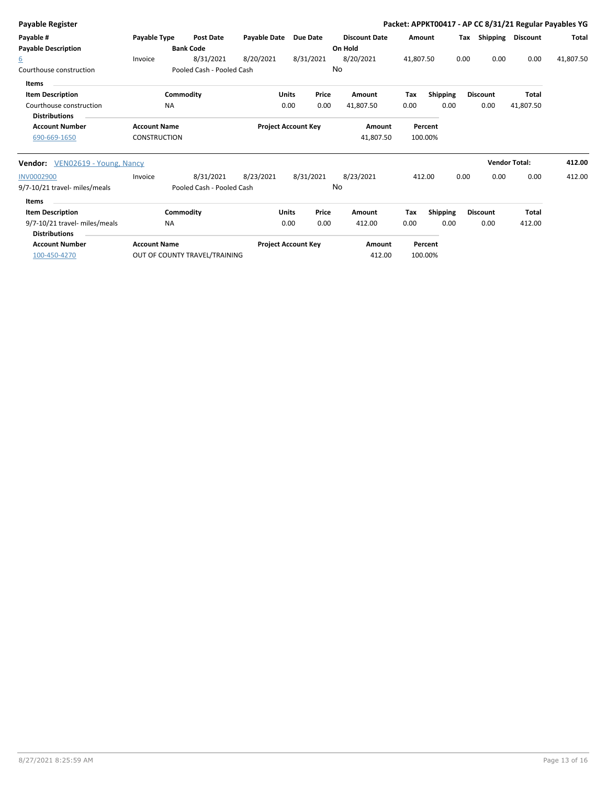| <b>Payable Register</b>                |                     |                               |                            |              |           |                      |           |                 |      |                      |                 | Packet: APPKT00417 - AP CC 8/31/21 Regular Payables YG |
|----------------------------------------|---------------------|-------------------------------|----------------------------|--------------|-----------|----------------------|-----------|-----------------|------|----------------------|-----------------|--------------------------------------------------------|
| Payable #                              | Payable Type        | <b>Post Date</b>              | <b>Payable Date</b>        | Due Date     |           | <b>Discount Date</b> | Amount    |                 | Tax  | Shipping             | <b>Discount</b> | Total                                                  |
| <b>Payable Description</b>             |                     | <b>Bank Code</b>              |                            |              |           | On Hold              |           |                 |      |                      |                 |                                                        |
| $6^{\circ}$                            | Invoice             | 8/31/2021                     | 8/20/2021                  |              | 8/31/2021 | 8/20/2021            | 41,807.50 |                 | 0.00 | 0.00                 | 0.00            | 41,807.50                                              |
| Courthouse construction                |                     | Pooled Cash - Pooled Cash     |                            |              |           | No                   |           |                 |      |                      |                 |                                                        |
| <b>Items</b>                           |                     |                               |                            |              |           |                      |           |                 |      |                      |                 |                                                        |
| <b>Item Description</b>                |                     | Commodity                     |                            | <b>Units</b> | Price     | Amount               | Tax       | <b>Shipping</b> |      | <b>Discount</b>      | <b>Total</b>    |                                                        |
| Courthouse construction                | <b>NA</b>           |                               |                            | 0.00         | 0.00      | 41,807.50            | 0.00      | 0.00            |      | 0.00                 | 41,807.50       |                                                        |
| <b>Distributions</b>                   |                     |                               |                            |              |           |                      |           |                 |      |                      |                 |                                                        |
| <b>Account Number</b>                  | <b>Account Name</b> |                               | <b>Project Account Key</b> |              |           | Amount               |           | Percent         |      |                      |                 |                                                        |
| 690-669-1650                           | <b>CONSTRUCTION</b> |                               |                            |              |           | 41,807.50            |           | 100.00%         |      |                      |                 |                                                        |
| <b>Vendor:</b> VEN02619 - Young, Nancy |                     |                               |                            |              |           |                      |           |                 |      | <b>Vendor Total:</b> |                 | 412.00                                                 |
| <b>INV0002900</b>                      | Invoice             | 8/31/2021                     | 8/23/2021                  | 8/31/2021    |           | 8/23/2021            |           | 412.00          | 0.00 | 0.00                 | 0.00            | 412.00                                                 |
| 9/7-10/21 travel- miles/meals          |                     | Pooled Cash - Pooled Cash     |                            |              |           | No                   |           |                 |      |                      |                 |                                                        |
| <b>Items</b>                           |                     |                               |                            |              |           |                      |           |                 |      |                      |                 |                                                        |
| <b>Item Description</b>                |                     | Commodity                     |                            | <b>Units</b> | Price     | Amount               | Tax       | <b>Shipping</b> |      | <b>Discount</b>      | <b>Total</b>    |                                                        |
| 9/7-10/21 travel- miles/meals          | <b>NA</b>           |                               |                            | 0.00         | 0.00      | 412.00               | 0.00      | 0.00            |      | 0.00                 | 412.00          |                                                        |
| <b>Distributions</b>                   |                     |                               |                            |              |           |                      |           |                 |      |                      |                 |                                                        |
| <b>Account Number</b>                  | <b>Account Name</b> |                               | <b>Project Account Key</b> |              |           | Amount               |           | Percent         |      |                      |                 |                                                        |
| 100-450-4270                           |                     | OUT OF COUNTY TRAVEL/TRAINING |                            |              |           | 412.00               |           | 100.00%         |      |                      |                 |                                                        |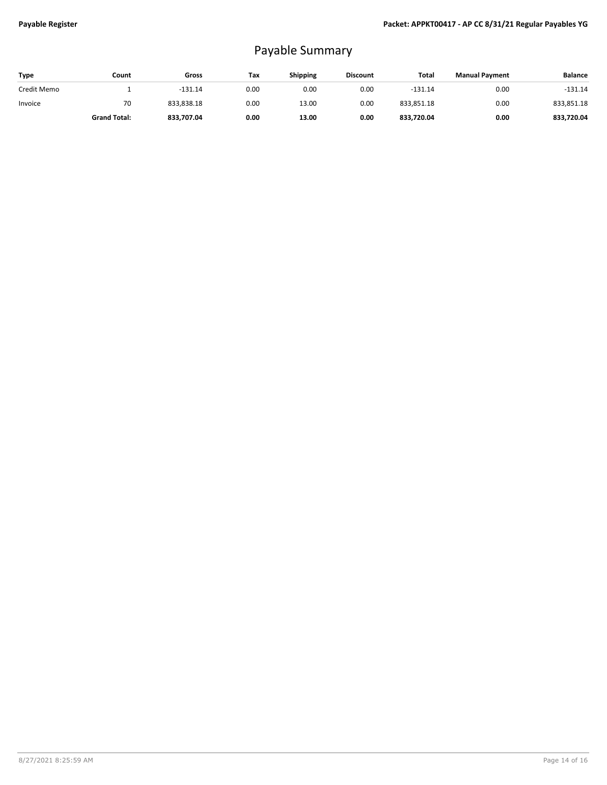## Payable Summary

| Type        | Count               | Gross      | Tax  | <b>Shipping</b> | <b>Discount</b> | Total      | <b>Manual Payment</b> | <b>Balance</b> |
|-------------|---------------------|------------|------|-----------------|-----------------|------------|-----------------------|----------------|
| Credit Memo |                     | $-131.14$  | 0.00 | 0.00            | 0.00            | $-131.14$  | 0.00                  | $-131.14$      |
| Invoice     | 70                  | 833.838.18 | 0.00 | 13.00           | 0.00            | 833,851.18 | 0.00                  | 833,851.18     |
|             | <b>Grand Total:</b> | 833,707.04 | 0.00 | 13.00           | 0.00            | 833,720.04 | 0.00                  | 833,720.04     |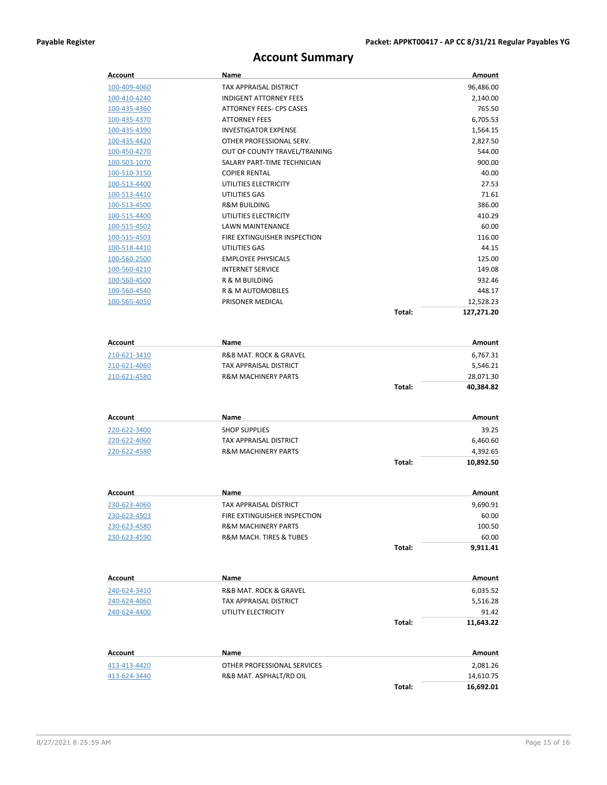## **Account Summary**

| Account                 | Name                                  |        | Amount                    |
|-------------------------|---------------------------------------|--------|---------------------------|
| 100-409-4060            | TAX APPRAISAL DISTRICT                |        | 96,486.00                 |
| 100-410-4240            | <b>INDIGENT ATTORNEY FEES</b>         |        | 2,140.00                  |
| 100-435-4360            | ATTORNEY FEES- CPS CASES              |        | 765.50                    |
| 100-435-4370            | <b>ATTORNEY FEES</b>                  |        | 6,705.53                  |
| 100-435-4390            | <b>INVESTIGATOR EXPENSE</b>           |        | 1,564.15                  |
| 100-435-4420            | OTHER PROFESSIONAL SERV.              |        | 2,827.50                  |
| 100-450-4270            | OUT OF COUNTY TRAVEL/TRAINING         |        | 544.00                    |
| 100-503-1070            | SALARY PART-TIME TECHNICIAN           |        | 900.00                    |
| 100-510-3150            | <b>COPIER RENTAL</b>                  |        | 40.00                     |
| 100-513-4400            | UTILITIES ELECTRICITY                 |        | 27.53                     |
| 100-513-4410            | UTILITIES GAS                         |        | 71.61                     |
| 100-513-4500            | <b>R&amp;M BUILDING</b>               |        | 386.00                    |
| 100-515-4400            | UTILITIES ELECTRICITY                 |        | 410.29                    |
| 100-515-4502            | LAWN MAINTENANCE                      |        | 60.00                     |
| 100-515-4503            | FIRE EXTINGUISHER INSPECTION          |        | 116.00                    |
| 100-518-4410            | UTILITIES GAS                         |        | 44.15                     |
| <u>100-560-2500</u>     | <b>EMPLOYEE PHYSICALS</b>             |        | 125.00                    |
| 100-560-4210            | <b>INTERNET SERVICE</b>               |        | 149.08                    |
| 100-560-4500            | R & M BUILDING                        |        | 932.46                    |
| 100-560-4540            | R & M AUTOMOBILES                     |        | 448.17                    |
| 100-565-4050            | PRISONER MEDICAL                      |        | 12,528.23                 |
|                         |                                       | Total: | 127,271.20                |
|                         |                                       |        |                           |
| <b>Account</b>          | Name                                  |        | Amount                    |
| 210-621-3410            | R&B MAT. ROCK & GRAVEL                |        | 6,767.31                  |
| 210-621-4060            | TAX APPRAISAL DISTRICT                |        | 5,546.21                  |
| 210-621-4580            | <b>R&amp;M MACHINERY PARTS</b>        |        | 28,071.30                 |
|                         |                                       | Total: | 40,384.82                 |
|                         |                                       |        |                           |
| Account                 | Name                                  |        | Amount                    |
| 220-622-3400            | <b>SHOP SUPPLIES</b>                  |        | 39.25                     |
| 220-622-4060            | TAX APPRAISAL DISTRICT                |        | 6,460.60                  |
| 220-622-4580            | <b>R&amp;M MACHINERY PARTS</b>        |        | 4,392.65                  |
|                         |                                       | Total: | 10,892.50                 |
|                         |                                       |        |                           |
| Account                 | Name                                  |        | Amount                    |
| 230-623-4060            | TAX APPRAISAL DISTRICT                |        | 9,690.91                  |
| 230-623-4503            | FIRE EXTINGUISHER INSPECTION          |        | 60.00                     |
| 230-623-4580            | <b>R&amp;M MACHINERY PARTS</b>        |        | 100.50                    |
| 230-623-4590            | R&M MACH. TIRES & TUBES               |        | 60.00                     |
|                         |                                       | Total: | 9,911.41                  |
|                         |                                       |        |                           |
| <b>Account</b>          | Name                                  |        | Amount                    |
| 240-624-3410            | <b>R&amp;B MAT. ROCK &amp; GRAVEL</b> |        | 6,035.52                  |
| 240-624-4060            | TAX APPRAISAL DISTRICT                |        | 5,516.28                  |
| 240-624-4400            | UTILITY ELECTRICITY                   |        | 91.42                     |
|                         |                                       | Total: | 11,643.22                 |
|                         |                                       |        |                           |
| Account<br>413-413-4420 | Name<br>OTHER PROFESSIONAL SERVICES   |        | <b>Amount</b><br>2,081.26 |
| 413-624-3440            | R&B MAT. ASPHALT/RD OIL               |        | 14,610.75                 |
|                         |                                       | Total: | 16,692.01                 |
|                         |                                       |        |                           |